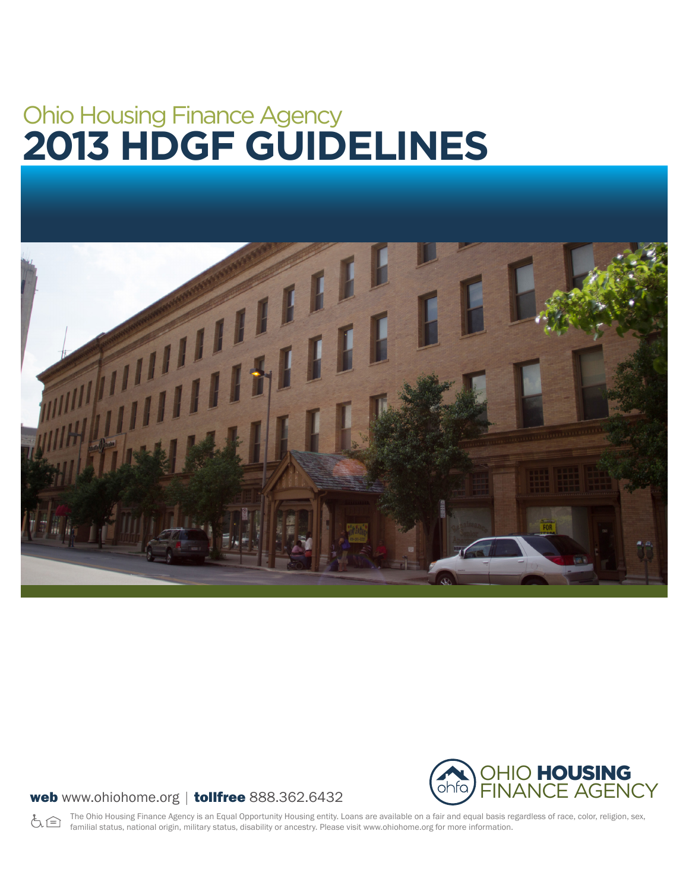# Ohio Housing Finance Agency **2013 HDGF GUIDELINES**





#### web www.ohiohome.org | tollfree 888.362.6432

The Ohio Housing Finance Agency is an Equal Opportunity Housing entity. Loans are available on a fair and equal basis regardless of race, color, religion, sex, よう familial status, national origin, military status, disability or ancestry. Please visit www.ohiohome.org for more information.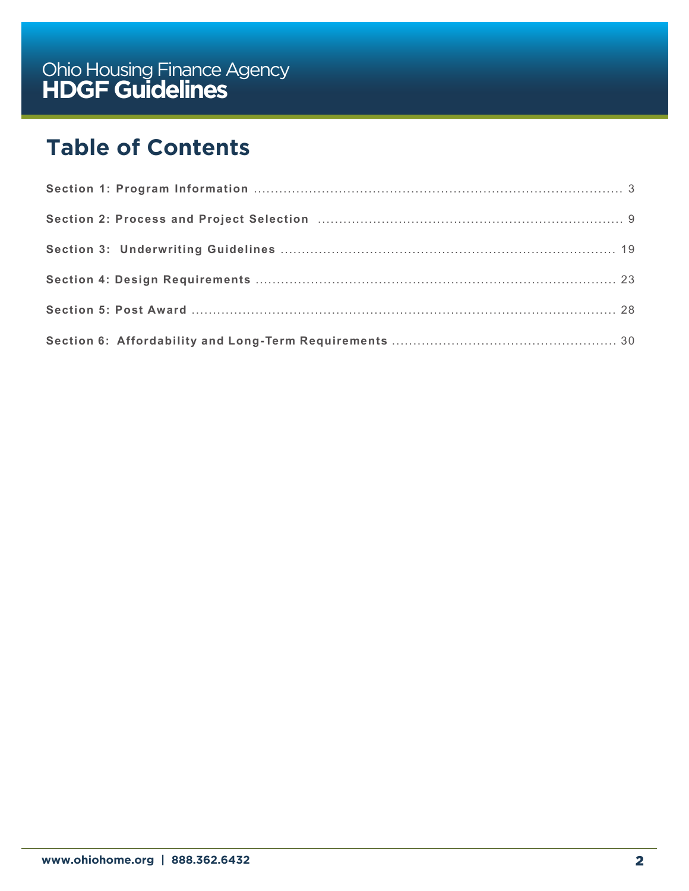# **Table of Contents**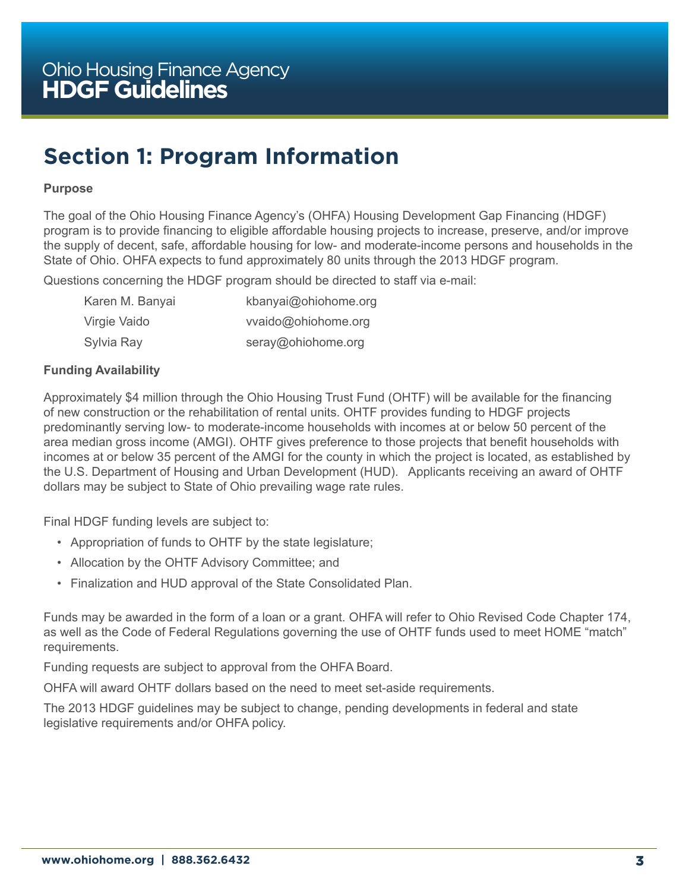# <span id="page-2-0"></span>**Section 1: Program Information**

#### **Purpose**

The goal of the Ohio Housing Finance Agency's (OHFA) Housing Development Gap Financing (HDGF) program is to provide financing to eligible affordable housing projects to increase, preserve, and/or improve the supply of decent, safe, affordable housing for low- and moderate-income persons and households in the State of Ohio. OHFA expects to fund approximately 80 units through the 2013 HDGF program.

Questions concerning the HDGF program should be directed to staff via e-mail:

| Karen M. Banyai | kbanyai@ohiohome.org |
|-----------------|----------------------|
| Virgie Vaido    | vvaido@ohiohome.org  |
| Sylvia Ray      | seray@ohiohome.org   |

#### **Funding Availability**

Approximately \$4 million through the Ohio Housing Trust Fund (OHTF) will be available for the financing of new construction or the rehabilitation of rental units. OHTF provides funding to HDGF projects predominantly serving low- to moderate-income households with incomes at or below 50 percent of the area median gross income (AMGI). OHTF gives preference to those projects that benefit households with incomes at or below 35 percent of the AMGI for the county in which the project is located, as established by the U.S. Department of Housing and Urban Development (HUD). Applicants receiving an award of OHTF dollars may be subject to State of Ohio prevailing wage rate rules.

Final HDGF funding levels are subject to:

- Appropriation of funds to OHTF by the state legislature;
- Allocation by the OHTF Advisory Committee; and
- Finalization and HUD approval of the State Consolidated Plan.

Funds may be awarded in the form of a loan or a grant. OHFA will refer to Ohio Revised Code Chapter 174, as well as the Code of Federal Regulations governing the use of OHTF funds used to meet HOME "match" requirements.

Funding requests are subject to approval from the OHFA Board.

OHFA will award OHTF dollars based on the need to meet set-aside requirements.

The 2013 HDGF guidelines may be subject to change, pending developments in federal and state legislative requirements and/or OHFA policy.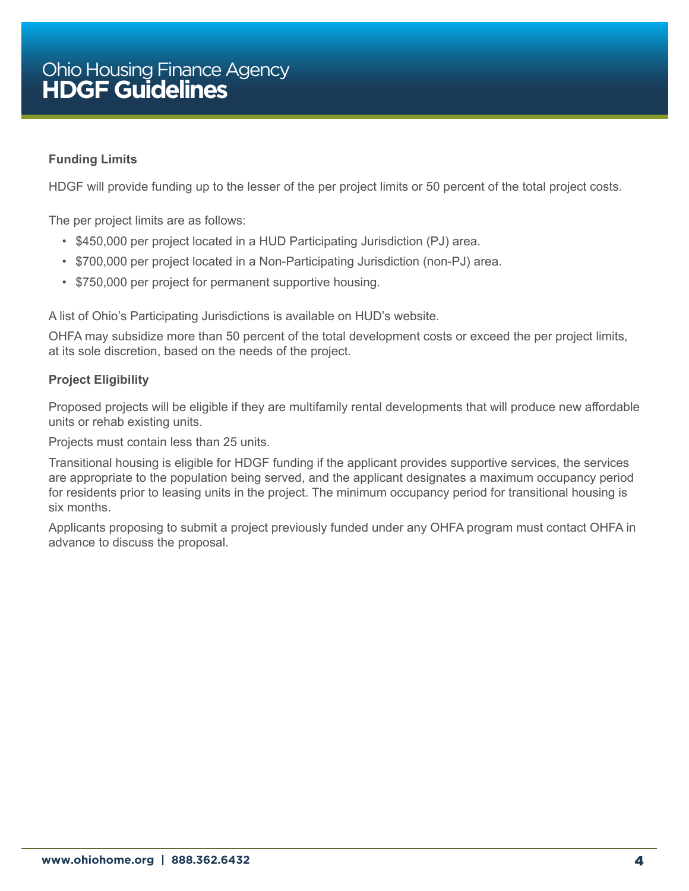#### **Funding Limits**

HDGF will provide funding up to the lesser of the per project limits or 50 percent of the total project costs.

The per project limits are as follows:

- \$450,000 per project located in a HUD Participating Jurisdiction (PJ) area.
- \$700,000 per project located in a Non-Participating Jurisdiction (non-PJ) area.
- \$750,000 per project for permanent supportive housing.

A list of Ohio's Participating Jurisdictions is available on HUD's website.

OHFA may subsidize more than 50 percent of the total development costs or exceed the per project limits, at its sole discretion, based on the needs of the project.

#### **Project Eligibility**

Proposed projects will be eligible if they are multifamily rental developments that will produce new affordable units or rehab existing units.

Projects must contain less than 25 units.

Transitional housing is eligible for HDGF funding if the applicant provides supportive services, the services are appropriate to the population being served, and the applicant designates a maximum occupancy period for residents prior to leasing units in the project. The minimum occupancy period for transitional housing is six months.

Applicants proposing to submit a project previously funded under any OHFA program must contact OHFA in advance to discuss the proposal.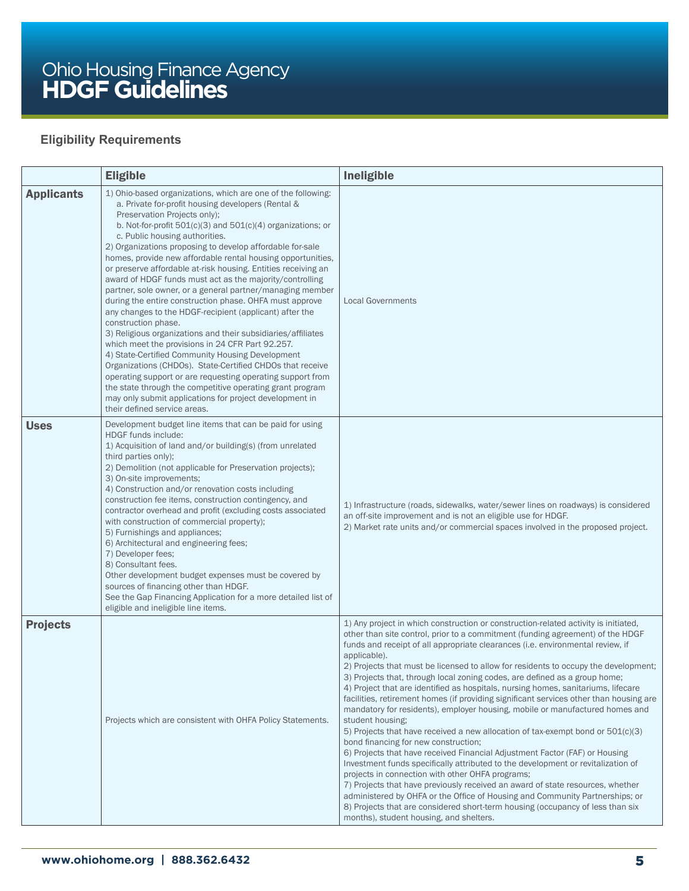#### **Eligibility Requirements**

|                   | <b>Eligible</b>                                                                                                                                                                                                                                                                                                                                                                                                                                                                                                                                                                                                                                                                                                                                                                                                                                                                                                                                                                                                                                                                                                                                                                       | Ineligible                                                                                                                                                                                                                                                                                                                                                                                                                                                                                                                                                                                                                                                                                                                                                                                                                                                                                                                                                                                                                                                                                                                                                                                                                                                                                                                                                                       |
|-------------------|---------------------------------------------------------------------------------------------------------------------------------------------------------------------------------------------------------------------------------------------------------------------------------------------------------------------------------------------------------------------------------------------------------------------------------------------------------------------------------------------------------------------------------------------------------------------------------------------------------------------------------------------------------------------------------------------------------------------------------------------------------------------------------------------------------------------------------------------------------------------------------------------------------------------------------------------------------------------------------------------------------------------------------------------------------------------------------------------------------------------------------------------------------------------------------------|----------------------------------------------------------------------------------------------------------------------------------------------------------------------------------------------------------------------------------------------------------------------------------------------------------------------------------------------------------------------------------------------------------------------------------------------------------------------------------------------------------------------------------------------------------------------------------------------------------------------------------------------------------------------------------------------------------------------------------------------------------------------------------------------------------------------------------------------------------------------------------------------------------------------------------------------------------------------------------------------------------------------------------------------------------------------------------------------------------------------------------------------------------------------------------------------------------------------------------------------------------------------------------------------------------------------------------------------------------------------------------|
| <b>Applicants</b> | 1) Ohio-based organizations, which are one of the following:<br>a. Private for-profit housing developers (Rental &<br>Preservation Projects only);<br>b. Not-for-profit $501(c)(3)$ and $501(c)(4)$ organizations; or<br>c. Public housing authorities.<br>2) Organizations proposing to develop affordable for-sale<br>homes, provide new affordable rental housing opportunities,<br>or preserve affordable at-risk housing. Entities receiving an<br>award of HDGF funds must act as the majority/controlling<br>partner, sole owner, or a general partner/managing member<br>during the entire construction phase. OHFA must approve<br>any changes to the HDGF-recipient (applicant) after the<br>construction phase.<br>3) Religious organizations and their subsidiaries/affiliates<br>which meet the provisions in 24 CFR Part 92.257.<br>4) State-Certified Community Housing Development<br>Organizations (CHDOs). State-Certified CHDOs that receive<br>operating support or are requesting operating support from<br>the state through the competitive operating grant program<br>may only submit applications for project development in<br>their defined service areas. | <b>Local Governments</b>                                                                                                                                                                                                                                                                                                                                                                                                                                                                                                                                                                                                                                                                                                                                                                                                                                                                                                                                                                                                                                                                                                                                                                                                                                                                                                                                                         |
| <b>Uses</b>       | Development budget line items that can be paid for using<br>HDGF funds include:<br>1) Acquisition of land and/or building(s) (from unrelated<br>third parties only);<br>2) Demolition (not applicable for Preservation projects);<br>3) On-site improvements;<br>4) Construction and/or renovation costs including<br>construction fee items, construction contingency, and<br>contractor overhead and profit (excluding costs associated<br>with construction of commercial property);<br>5) Furnishings and appliances;<br>6) Architectural and engineering fees;<br>7) Developer fees;<br>8) Consultant fees.<br>Other development budget expenses must be covered by<br>sources of financing other than HDGF.<br>See the Gap Financing Application for a more detailed list of<br>eligible and ineligible line items.                                                                                                                                                                                                                                                                                                                                                             | 1) Infrastructure (roads, sidewalks, water/sewer lines on roadways) is considered<br>an off-site improvement and is not an eligible use for HDGF.<br>2) Market rate units and/or commercial spaces involved in the proposed project.                                                                                                                                                                                                                                                                                                                                                                                                                                                                                                                                                                                                                                                                                                                                                                                                                                                                                                                                                                                                                                                                                                                                             |
| <b>Projects</b>   | Projects which are consistent with OHFA Policy Statements.                                                                                                                                                                                                                                                                                                                                                                                                                                                                                                                                                                                                                                                                                                                                                                                                                                                                                                                                                                                                                                                                                                                            | 1) Any project in which construction or construction-related activity is initiated,<br>other than site control, prior to a commitment (funding agreement) of the HDGF<br>funds and receipt of all appropriate clearances (i.e. environmental review, if<br>applicable).<br>2) Projects that must be licensed to allow for residents to occupy the development;<br>3) Projects that, through local zoning codes, are defined as a group home;<br>4) Project that are identified as hospitals, nursing homes, sanitariums, lifecare<br>facilities, retirement homes (if providing significant services other than housing are<br>mandatory for residents), employer housing, mobile or manufactured homes and<br>student housing;<br>5) Projects that have received a new allocation of tax-exempt bond or 501(c)(3)<br>bond financing for new construction;<br>6) Projects that have received Financial Adjustment Factor (FAF) or Housing<br>Investment funds specifically attributed to the development or revitalization of<br>projects in connection with other OHFA programs;<br>7) Projects that have previously received an award of state resources, whether<br>administered by OHFA or the Office of Housing and Community Partnerships; or<br>8) Projects that are considered short-term housing (occupancy of less than six<br>months), student housing, and shelters. |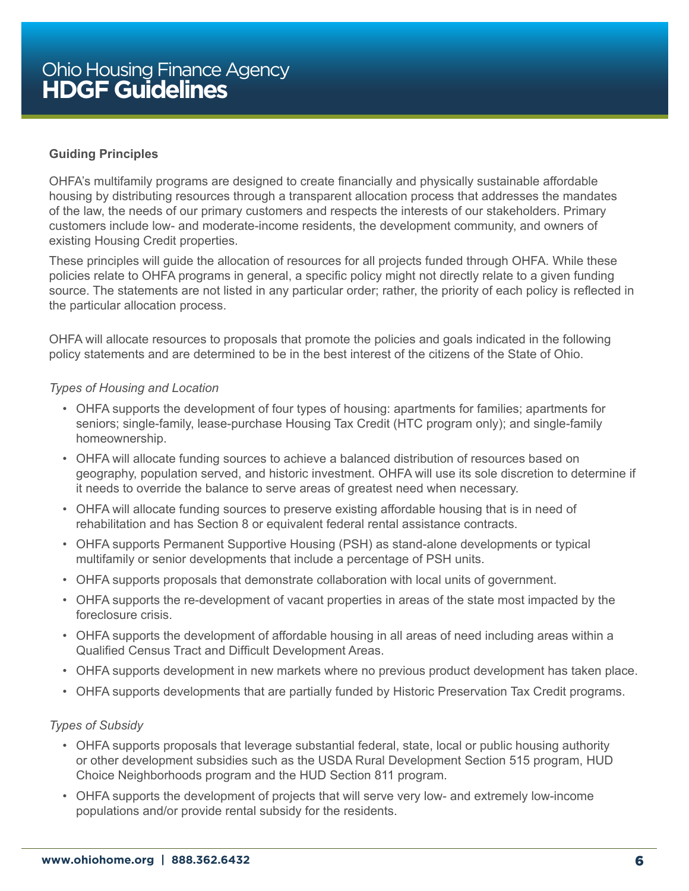#### **Guiding Principles**

OHFA's multifamily programs are designed to create financially and physically sustainable affordable housing by distributing resources through a transparent allocation process that addresses the mandates of the law, the needs of our primary customers and respects the interests of our stakeholders. Primary customers include low- and moderate-income residents, the development community, and owners of existing Housing Credit properties.

These principles will guide the allocation of resources for all projects funded through OHFA. While these policies relate to OHFA programs in general, a specific policy might not directly relate to a given funding source. The statements are not listed in any particular order; rather, the priority of each policy is reflected in the particular allocation process.

OHFA will allocate resources to proposals that promote the policies and goals indicated in the following policy statements and are determined to be in the best interest of the citizens of the State of Ohio.

#### *Types of Housing and Location*

- OHFA supports the development of four types of housing: apartments for families; apartments for seniors; single-family, lease-purchase Housing Tax Credit (HTC program only); and single-family homeownership.
- OHFA will allocate funding sources to achieve a balanced distribution of resources based on geography, population served, and historic investment. OHFA will use its sole discretion to determine if it needs to override the balance to serve areas of greatest need when necessary.
- OHFA will allocate funding sources to preserve existing affordable housing that is in need of rehabilitation and has Section 8 or equivalent federal rental assistance contracts.
- OHFA supports Permanent Supportive Housing (PSH) as stand-alone developments or typical multifamily or senior developments that include a percentage of PSH units.
- OHFA supports proposals that demonstrate collaboration with local units of government.
- OHFA supports the re-development of vacant properties in areas of the state most impacted by the foreclosure crisis.
- OHFA supports the development of affordable housing in all areas of need including areas within a Qualified Census Tract and Difficult Development Areas.
- OHFA supports development in new markets where no previous product development has taken place.
- OHFA supports developments that are partially funded by Historic Preservation Tax Credit programs.

#### *Types of Subsidy*

- OHFA supports proposals that leverage substantial federal, state, local or public housing authority or other development subsidies such as the USDA Rural Development Section 515 program, HUD Choice Neighborhoods program and the HUD Section 811 program.
- OHFA supports the development of projects that will serve very low- and extremely low-income populations and/or provide rental subsidy for the residents.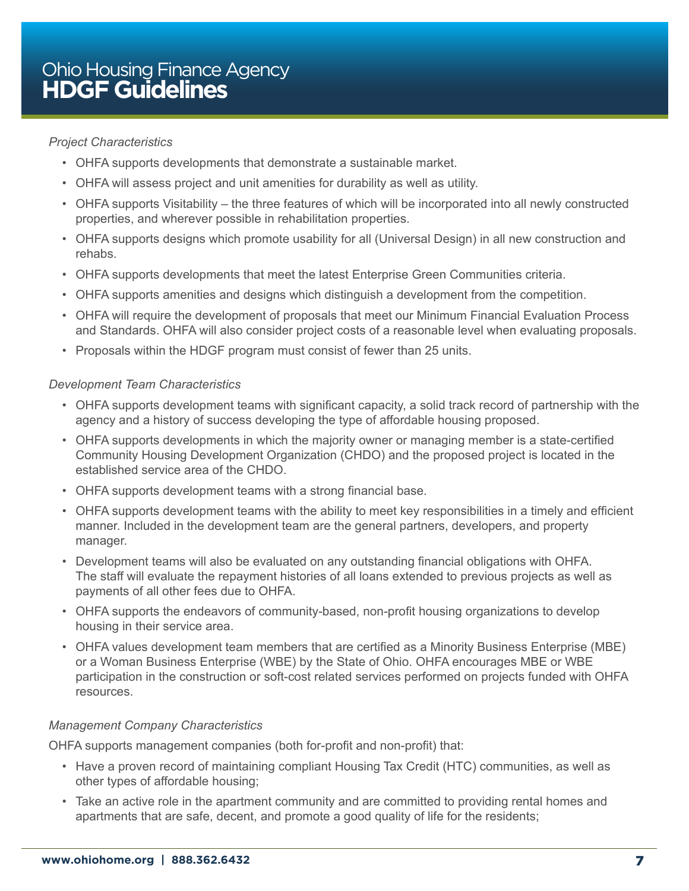#### *Project Characteristics*

- OHFA supports developments that demonstrate a sustainable market.
- OHFA will assess project and unit amenities for durability as well as utility.
- OHFA supports Visitability the three features of which will be incorporated into all newly constructed properties, and wherever possible in rehabilitation properties.
- OHFA supports designs which promote usability for all (Universal Design) in all new construction and rehabs.
- OHFA supports developments that meet the latest Enterprise Green Communities criteria.
- OHFA supports amenities and designs which distinguish a development from the competition.
- OHFA will require the development of proposals that meet our Minimum Financial Evaluation Process and Standards. OHFA will also consider project costs of a reasonable level when evaluating proposals.
- Proposals within the HDGF program must consist of fewer than 25 units.

#### *Development Team Characteristics*

- OHFA supports development teams with significant capacity, a solid track record of partnership with the agency and a history of success developing the type of affordable housing proposed.
- OHFA supports developments in which the majority owner or managing member is a state-certified Community Housing Development Organization (CHDO) and the proposed project is located in the established service area of the CHDO.
- OHFA supports development teams with a strong financial base.
- OHFA supports development teams with the ability to meet key responsibilities in a timely and efficient manner. Included in the development team are the general partners, developers, and property manager.
- Development teams will also be evaluated on any outstanding financial obligations with OHFA. The staff will evaluate the repayment histories of all loans extended to previous projects as well as payments of all other fees due to OHFA.
- OHFA supports the endeavors of community-based, non-profit housing organizations to develop housing in their service area.
- OHFA values development team members that are certified as a Minority Business Enterprise (MBE) or a Woman Business Enterprise (WBE) by the State of Ohio. OHFA encourages MBE or WBE participation in the construction or soft-cost related services performed on projects funded with OHFA resources.

#### *Management Company Characteristics*

OHFA supports management companies (both for-profit and non-profit) that:

- Have a proven record of maintaining compliant Housing Tax Credit (HTC) communities, as well as other types of affordable housing;
- Take an active role in the apartment community and are committed to providing rental homes and apartments that are safe, decent, and promote a good quality of life for the residents;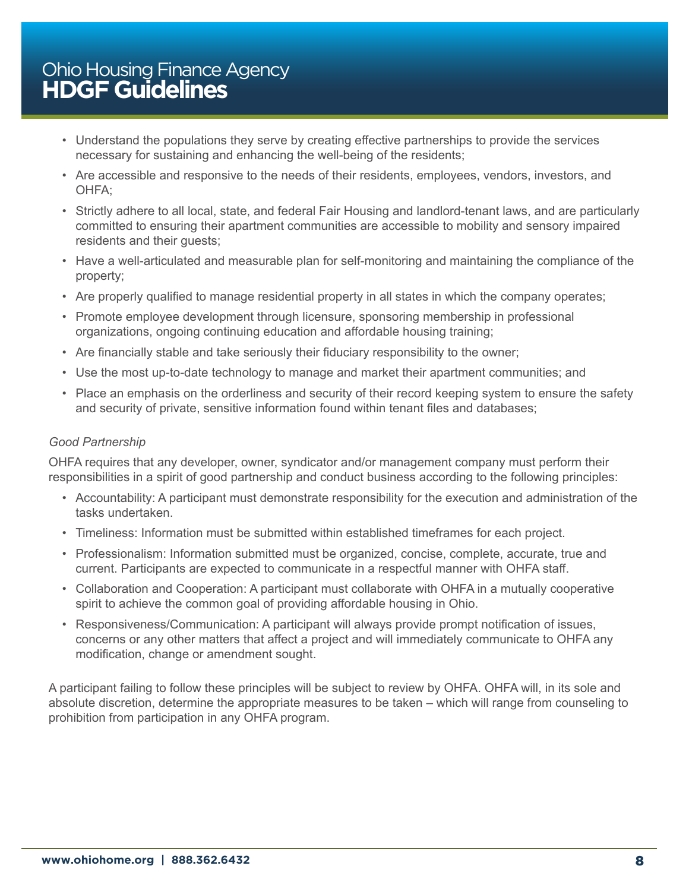- Understand the populations they serve by creating effective partnerships to provide the services necessary for sustaining and enhancing the well-being of the residents;
- Are accessible and responsive to the needs of their residents, employees, vendors, investors, and OHFA;
- Strictly adhere to all local, state, and federal Fair Housing and landlord-tenant laws, and are particularly committed to ensuring their apartment communities are accessible to mobility and sensory impaired residents and their guests;
- Have a well-articulated and measurable plan for self-monitoring and maintaining the compliance of the property;
- Are properly qualified to manage residential property in all states in which the company operates;
- Promote employee development through licensure, sponsoring membership in professional organizations, ongoing continuing education and affordable housing training;
- Are financially stable and take seriously their fiduciary responsibility to the owner;
- Use the most up-to-date technology to manage and market their apartment communities; and
- Place an emphasis on the orderliness and security of their record keeping system to ensure the safety and security of private, sensitive information found within tenant files and databases;

#### *Good Partnership*

OHFA requires that any developer, owner, syndicator and/or management company must perform their responsibilities in a spirit of good partnership and conduct business according to the following principles:

- Accountability: A participant must demonstrate responsibility for the execution and administration of the tasks undertaken.
- Timeliness: Information must be submitted within established timeframes for each project.
- Professionalism: Information submitted must be organized, concise, complete, accurate, true and current. Participants are expected to communicate in a respectful manner with OHFA staff.
- Collaboration and Cooperation: A participant must collaborate with OHFA in a mutually cooperative spirit to achieve the common goal of providing affordable housing in Ohio.
- Responsiveness/Communication: A participant will always provide prompt notification of issues, concerns or any other matters that affect a project and will immediately communicate to OHFA any modification, change or amendment sought.

A participant failing to follow these principles will be subject to review by OHFA. OHFA will, in its sole and absolute discretion, determine the appropriate measures to be taken – which will range from counseling to prohibition from participation in any OHFA program.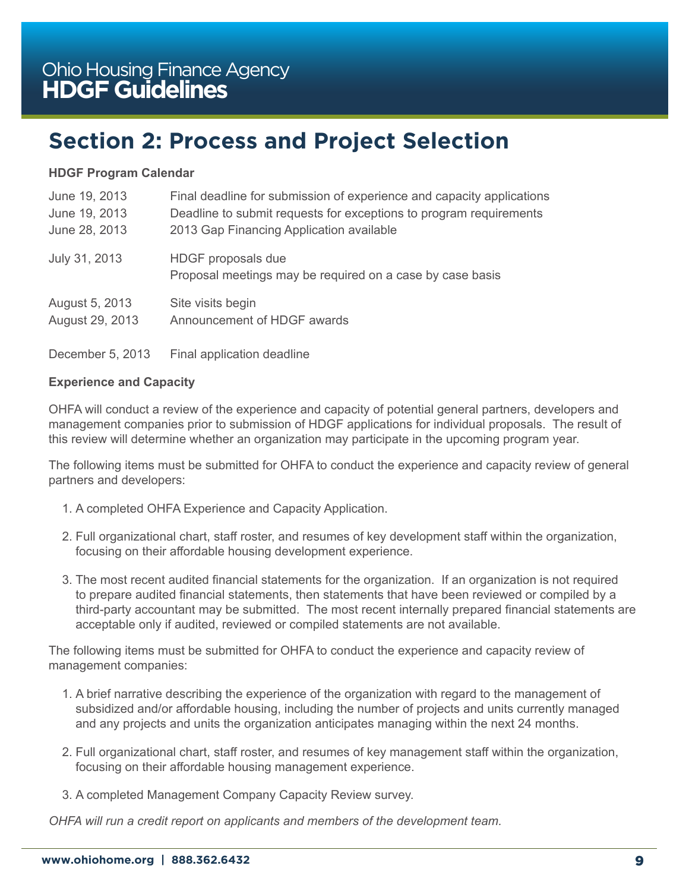# <span id="page-8-0"></span>**Section 2: Process and Project Selection**

#### **HDGF Program Calendar**

| June 19, 2013    | Final deadline for submission of experience and capacity applications           |
|------------------|---------------------------------------------------------------------------------|
| June 19, 2013    | Deadline to submit requests for exceptions to program requirements              |
| June 28, 2013    | 2013 Gap Financing Application available                                        |
| July 31, 2013    | HDGF proposals due<br>Proposal meetings may be required on a case by case basis |
| August 5, 2013   | Site visits begin                                                               |
| August 29, 2013  | Announcement of HDGF awards                                                     |
| December 5, 2013 | Final application deadline                                                      |

#### **Experience and Capacity**

OHFA will conduct a review of the experience and capacity of potential general partners, developers and management companies prior to submission of HDGF applications for individual proposals. The result of this review will determine whether an organization may participate in the upcoming program year.

The following items must be submitted for OHFA to conduct the experience and capacity review of general partners and developers:

- 1. A completed OHFA Experience and Capacity Application.
- 2. Full organizational chart, staff roster, and resumes of key development staff within the organization, focusing on their affordable housing development experience.
- 3. The most recent audited financial statements for the organization. If an organization is not required to prepare audited financial statements, then statements that have been reviewed or compiled by a third-party accountant may be submitted. The most recent internally prepared financial statements are acceptable only if audited, reviewed or compiled statements are not available.

The following items must be submitted for OHFA to conduct the experience and capacity review of management companies:

- 1. A brief narrative describing the experience of the organization with regard to the management of subsidized and/or affordable housing, including the number of projects and units currently managed and any projects and units the organization anticipates managing within the next 24 months.
- 2. Full organizational chart, staff roster, and resumes of key management staff within the organization, focusing on their affordable housing management experience.
- 3. A completed Management Company Capacity Review survey.

*OHFA will run a credit report on applicants and members of the development team.*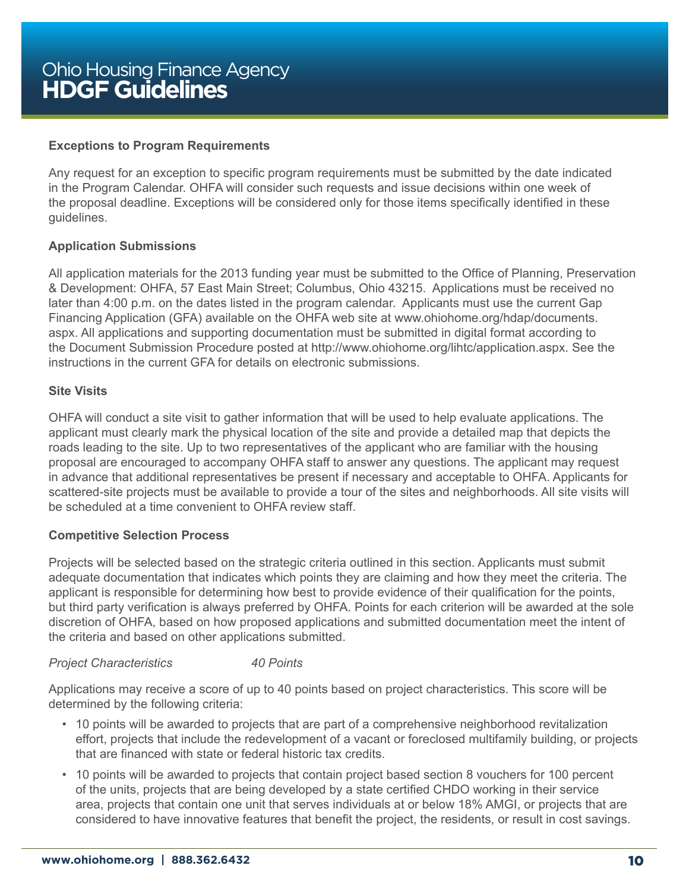#### **Exceptions to Program Requirements**

Any request for an exception to specific program requirements must be submitted by the date indicated in the Program Calendar. OHFA will consider such requests and issue decisions within one week of the proposal deadline. Exceptions will be considered only for those items specifically identified in these guidelines.

#### **Application Submissions**

All application materials for the 2013 funding year must be submitted to the Office of Planning, Preservation & Development: OHFA, 57 East Main Street; Columbus, Ohio 43215. Applications must be received no later than 4:00 p.m. on the dates listed in the program calendar. Applicants must use the current Gap Financing Application (GFA) available on the OHFA web site at www.ohiohome.org/hdap/documents. aspx. All applications and supporting documentation must be submitted in digital format according to the Document Submission Procedure posted at http://www.ohiohome.org/lihtc/application.aspx. See the instructions in the current GFA for details on electronic submissions.

#### **Site Visits**

OHFA will conduct a site visit to gather information that will be used to help evaluate applications. The applicant must clearly mark the physical location of the site and provide a detailed map that depicts the roads leading to the site. Up to two representatives of the applicant who are familiar with the housing proposal are encouraged to accompany OHFA staff to answer any questions. The applicant may request in advance that additional representatives be present if necessary and acceptable to OHFA. Applicants for scattered-site projects must be available to provide a tour of the sites and neighborhoods. All site visits will be scheduled at a time convenient to OHFA review staff.

#### **Competitive Selection Process**

Projects will be selected based on the strategic criteria outlined in this section. Applicants must submit adequate documentation that indicates which points they are claiming and how they meet the criteria. The applicant is responsible for determining how best to provide evidence of their qualification for the points, but third party verification is always preferred by OHFA. Points for each criterion will be awarded at the sole discretion of OHFA, based on how proposed applications and submitted documentation meet the intent of the criteria and based on other applications submitted.

#### *Project Characteristics 40 Points*

Applications may receive a score of up to 40 points based on project characteristics. This score will be determined by the following criteria:

- 10 points will be awarded to projects that are part of a comprehensive neighborhood revitalization effort, projects that include the redevelopment of a vacant or foreclosed multifamily building, or projects that are financed with state or federal historic tax credits.
- 10 points will be awarded to projects that contain project based section 8 vouchers for 100 percent of the units, projects that are being developed by a state certified CHDO working in their service area, projects that contain one unit that serves individuals at or below 18% AMGI, or projects that are considered to have innovative features that benefit the project, the residents, or result in cost savings.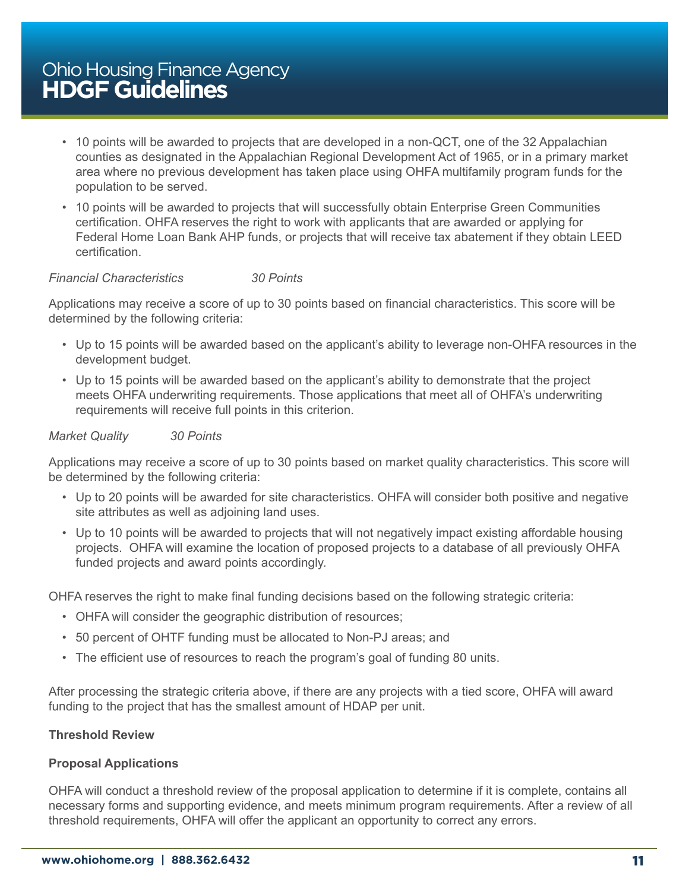- 10 points will be awarded to projects that are developed in a non-QCT, one of the 32 Appalachian counties as designated in the Appalachian Regional Development Act of 1965, or in a primary market area where no previous development has taken place using OHFA multifamily program funds for the population to be served.
- 10 points will be awarded to projects that will successfully obtain Enterprise Green Communities certification. OHFA reserves the right to work with applicants that are awarded or applying for Federal Home Loan Bank AHP funds, or projects that will receive tax abatement if they obtain LEED certification.

#### *Financial Characteristics 30 Points*

Applications may receive a score of up to 30 points based on financial characteristics. This score will be determined by the following criteria:

- Up to 15 points will be awarded based on the applicant's ability to leverage non-OHFA resources in the development budget.
- Up to 15 points will be awarded based on the applicant's ability to demonstrate that the project meets OHFA underwriting requirements. Those applications that meet all of OHFA's underwriting requirements will receive full points in this criterion.

#### *Market Quality 30 Points*

Applications may receive a score of up to 30 points based on market quality characteristics. This score will be determined by the following criteria:

- Up to 20 points will be awarded for site characteristics. OHFA will consider both positive and negative site attributes as well as adjoining land uses.
- Up to 10 points will be awarded to projects that will not negatively impact existing affordable housing projects. OHFA will examine the location of proposed projects to a database of all previously OHFA funded projects and award points accordingly.

OHFA reserves the right to make final funding decisions based on the following strategic criteria:

- OHFA will consider the geographic distribution of resources;
- 50 percent of OHTF funding must be allocated to Non-PJ areas; and
- The efficient use of resources to reach the program's goal of funding 80 units.

After processing the strategic criteria above, if there are any projects with a tied score, OHFA will award funding to the project that has the smallest amount of HDAP per unit.

#### **Threshold Review**

#### **Proposal Applications**

OHFA will conduct a threshold review of the proposal application to determine if it is complete, contains all necessary forms and supporting evidence, and meets minimum program requirements. After a review of all threshold requirements, OHFA will offer the applicant an opportunity to correct any errors.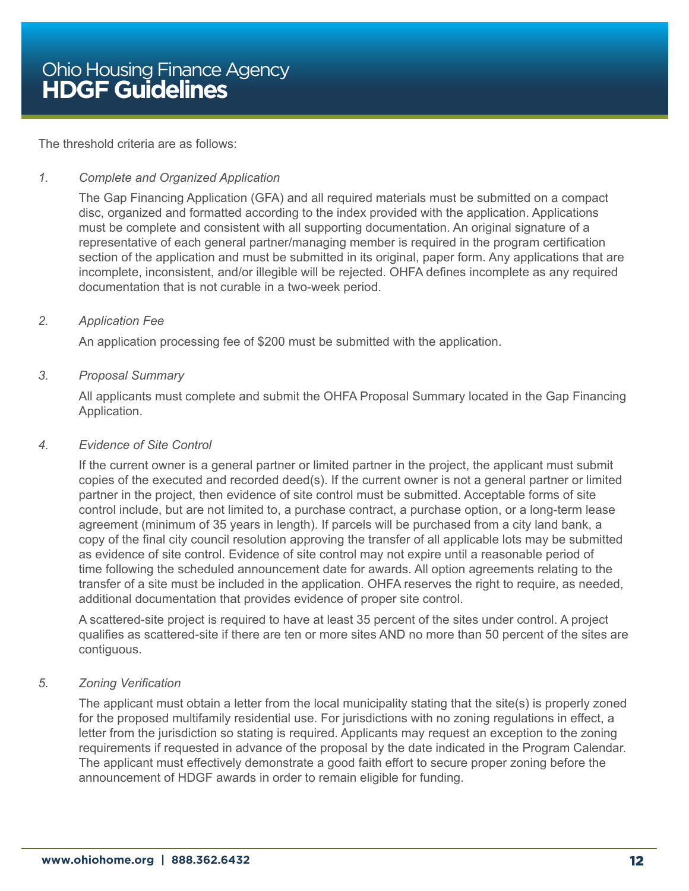The threshold criteria are as follows:

#### *1. Complete and Organized Application*

The Gap Financing Application (GFA) and all required materials must be submitted on a compact disc, organized and formatted according to the index provided with the application. Applications must be complete and consistent with all supporting documentation. An original signature of a representative of each general partner/managing member is required in the program certification section of the application and must be submitted in its original, paper form. Any applications that are incomplete, inconsistent, and/or illegible will be rejected. OHFA defines incomplete as any required documentation that is not curable in a two-week period.

#### *2. Application Fee*

An application processing fee of \$200 must be submitted with the application.

#### *3. Proposal Summary*

All applicants must complete and submit the OHFA Proposal Summary located in the Gap Financing Application.

#### *4. Evidence of Site Control*

If the current owner is a general partner or limited partner in the project, the applicant must submit copies of the executed and recorded deed(s). If the current owner is not a general partner or limited partner in the project, then evidence of site control must be submitted. Acceptable forms of site control include, but are not limited to, a purchase contract, a purchase option, or a long-term lease agreement (minimum of 35 years in length). If parcels will be purchased from a city land bank, a copy of the final city council resolution approving the transfer of all applicable lots may be submitted as evidence of site control. Evidence of site control may not expire until a reasonable period of time following the scheduled announcement date for awards. All option agreements relating to the transfer of a site must be included in the application. OHFA reserves the right to require, as needed, additional documentation that provides evidence of proper site control.

A scattered-site project is required to have at least 35 percent of the sites under control. A project qualifies as scattered-site if there are ten or more sites AND no more than 50 percent of the sites are contiguous.

#### *5. Zoning Verification*

The applicant must obtain a letter from the local municipality stating that the site(s) is properly zoned for the proposed multifamily residential use. For jurisdictions with no zoning regulations in effect, a letter from the jurisdiction so stating is required. Applicants may request an exception to the zoning requirements if requested in advance of the proposal by the date indicated in the Program Calendar. The applicant must effectively demonstrate a good faith effort to secure proper zoning before the announcement of HDGF awards in order to remain eligible for funding.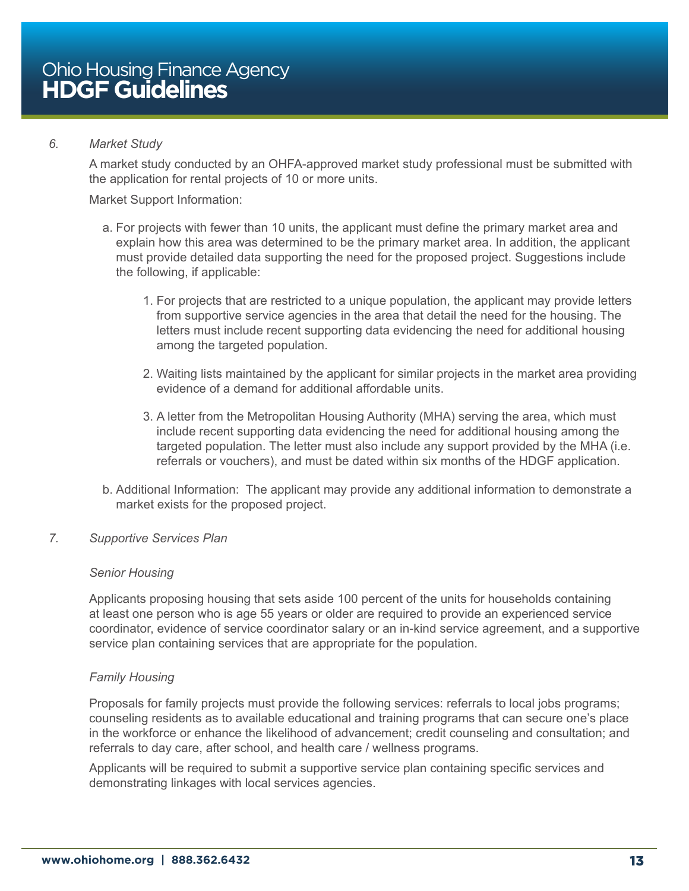#### *6. Market Study*

A market study conducted by an OHFA-approved market study professional must be submitted with the application for rental projects of 10 or more units.

Market Support Information:

- a. For projects with fewer than 10 units, the applicant must define the primary market area and explain how this area was determined to be the primary market area. In addition, the applicant must provide detailed data supporting the need for the proposed project. Suggestions include the following, if applicable:
	- 1. For projects that are restricted to a unique population, the applicant may provide letters from supportive service agencies in the area that detail the need for the housing. The letters must include recent supporting data evidencing the need for additional housing among the targeted population.
	- 2. Waiting lists maintained by the applicant for similar projects in the market area providing evidence of a demand for additional affordable units.
	- 3. A letter from the Metropolitan Housing Authority (MHA) serving the area, which must include recent supporting data evidencing the need for additional housing among the targeted population. The letter must also include any support provided by the MHA (i.e. referrals or vouchers), and must be dated within six months of the HDGF application.
- b. Additional Information: The applicant may provide any additional information to demonstrate a market exists for the proposed project.

#### *7. Supportive Services Plan*

#### *Senior Housing*

Applicants proposing housing that sets aside 100 percent of the units for households containing at least one person who is age 55 years or older are required to provide an experienced service coordinator, evidence of service coordinator salary or an in-kind service agreement, and a supportive service plan containing services that are appropriate for the population.

#### *Family Housing*

Proposals for family projects must provide the following services: referrals to local jobs programs; counseling residents as to available educational and training programs that can secure one's place in the workforce or enhance the likelihood of advancement; credit counseling and consultation; and referrals to day care, after school, and health care / wellness programs.

Applicants will be required to submit a supportive service plan containing specific services and demonstrating linkages with local services agencies.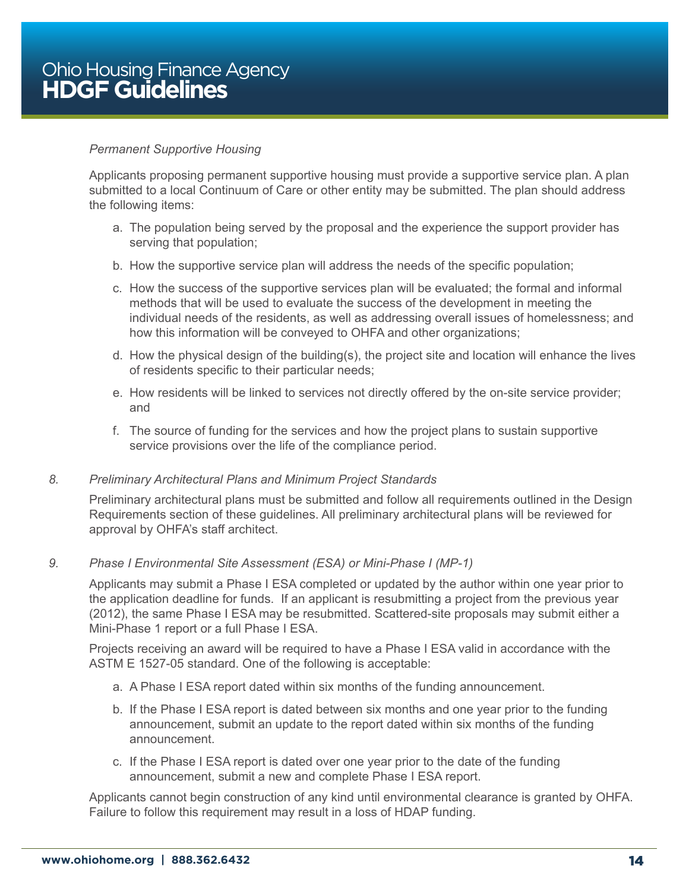#### *Permanent Supportive Housing*

Applicants proposing permanent supportive housing must provide a supportive service plan. A plan submitted to a local Continuum of Care or other entity may be submitted. The plan should address the following items:

- a. The population being served by the proposal and the experience the support provider has serving that population;
- b. How the supportive service plan will address the needs of the specific population;
- c. How the success of the supportive services plan will be evaluated; the formal and informal methods that will be used to evaluate the success of the development in meeting the individual needs of the residents, as well as addressing overall issues of homelessness; and how this information will be conveyed to OHFA and other organizations;
- d. How the physical design of the building(s), the project site and location will enhance the lives of residents specific to their particular needs;
- e. How residents will be linked to services not directly offered by the on-site service provider; and
- f. The source of funding for the services and how the project plans to sustain supportive service provisions over the life of the compliance period.

#### *8. Preliminary Architectural Plans and Minimum Project Standards*

Preliminary architectural plans must be submitted and follow all requirements outlined in the Design Requirements section of these guidelines. All preliminary architectural plans will be reviewed for approval by OHFA's staff architect.

#### *9. Phase I Environmental Site Assessment (ESA) or Mini-Phase I (MP-1)*

Applicants may submit a Phase I ESA completed or updated by the author within one year prior to the application deadline for funds. If an applicant is resubmitting a project from the previous year (2012), the same Phase I ESA may be resubmitted. Scattered-site proposals may submit either a Mini-Phase 1 report or a full Phase I ESA.

Projects receiving an award will be required to have a Phase I ESA valid in accordance with the ASTM E 1527-05 standard. One of the following is acceptable:

- a. A Phase I ESA report dated within six months of the funding announcement.
- b. If the Phase I ESA report is dated between six months and one year prior to the funding announcement, submit an update to the report dated within six months of the funding announcement.
- c. If the Phase I ESA report is dated over one year prior to the date of the funding announcement, submit a new and complete Phase I ESA report.

Applicants cannot begin construction of any kind until environmental clearance is granted by OHFA. Failure to follow this requirement may result in a loss of HDAP funding.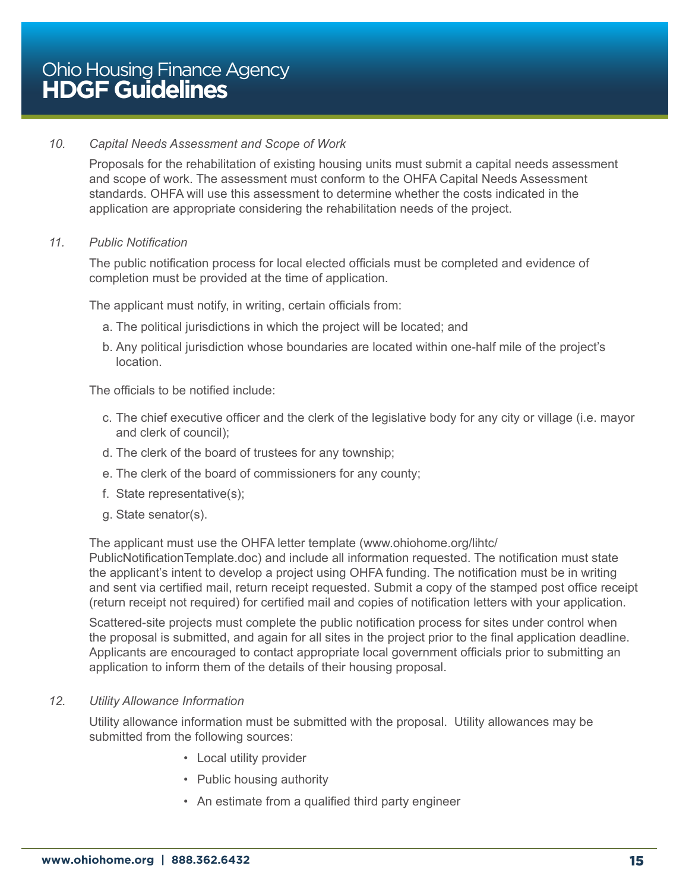#### *10. Capital Needs Assessment and Scope of Work*

Proposals for the rehabilitation of existing housing units must submit a capital needs assessment and scope of work. The assessment must conform to the OHFA Capital Needs Assessment standards. OHFA will use this assessment to determine whether the costs indicated in the application are appropriate considering the rehabilitation needs of the project.

#### *11. Public Notification*

The public notification process for local elected officials must be completed and evidence of completion must be provided at the time of application.

The applicant must notify, in writing, certain officials from:

- a. The political jurisdictions in which the project will be located; and
- b. Any political jurisdiction whose boundaries are located within one-half mile of the project's location.

The officials to be notified include:

- c. The chief executive officer and the clerk of the legislative body for any city or village (i.e. mayor and clerk of council);
- d. The clerk of the board of trustees for any township;
- e. The clerk of the board of commissioners for any county;
- f. State representative(s);
- g. State senator(s).

The applicant must use the OHFA letter template (www.ohiohome.org/lihtc/

PublicNotificationTemplate.doc) and include all information requested. The notification must state the applicant's intent to develop a project using OHFA funding. The notification must be in writing and sent via certified mail, return receipt requested. Submit a copy of the stamped post office receipt (return receipt not required) for certified mail and copies of notification letters with your application.

Scattered-site projects must complete the public notification process for sites under control when the proposal is submitted, and again for all sites in the project prior to the final application deadline. Applicants are encouraged to contact appropriate local government officials prior to submitting an application to inform them of the details of their housing proposal.

#### *12. Utility Allowance Information*

Utility allowance information must be submitted with the proposal. Utility allowances may be submitted from the following sources:

- Local utility provider
- Public housing authority
- An estimate from a qualified third party engineer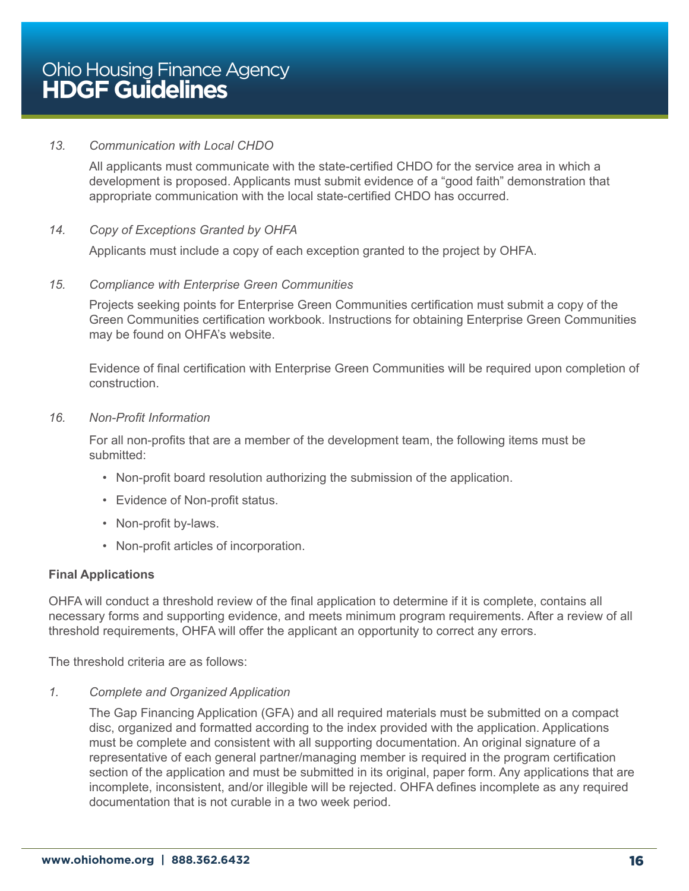#### *13. Communication with Local CHDO*

All applicants must communicate with the state-certified CHDO for the service area in which a development is proposed. Applicants must submit evidence of a "good faith" demonstration that appropriate communication with the local state-certified CHDO has occurred.

#### *14. Copy of Exceptions Granted by OHFA*

Applicants must include a copy of each exception granted to the project by OHFA.

#### *15. Compliance with Enterprise Green Communities*

Projects seeking points for Enterprise Green Communities certification must submit a copy of the Green Communities certification workbook. Instructions for obtaining Enterprise Green Communities may be found on OHFA's website.

Evidence of final certification with Enterprise Green Communities will be required upon completion of construction.

#### *16. Non-Profit Information*

For all non-profits that are a member of the development team, the following items must be submitted:

- Non-profit board resolution authorizing the submission of the application.
- Evidence of Non-profit status.
- Non-profit by-laws.
- Non-profit articles of incorporation.

#### **Final Applications**

OHFA will conduct a threshold review of the final application to determine if it is complete, contains all necessary forms and supporting evidence, and meets minimum program requirements. After a review of all threshold requirements, OHFA will offer the applicant an opportunity to correct any errors.

The threshold criteria are as follows:

#### *1. Complete and Organized Application*

The Gap Financing Application (GFA) and all required materials must be submitted on a compact disc, organized and formatted according to the index provided with the application. Applications must be complete and consistent with all supporting documentation. An original signature of a representative of each general partner/managing member is required in the program certification section of the application and must be submitted in its original, paper form. Anv applications that are incomplete, inconsistent, and/or illegible will be rejected. OHFA defines incomplete as any required documentation that is not curable in a two week period.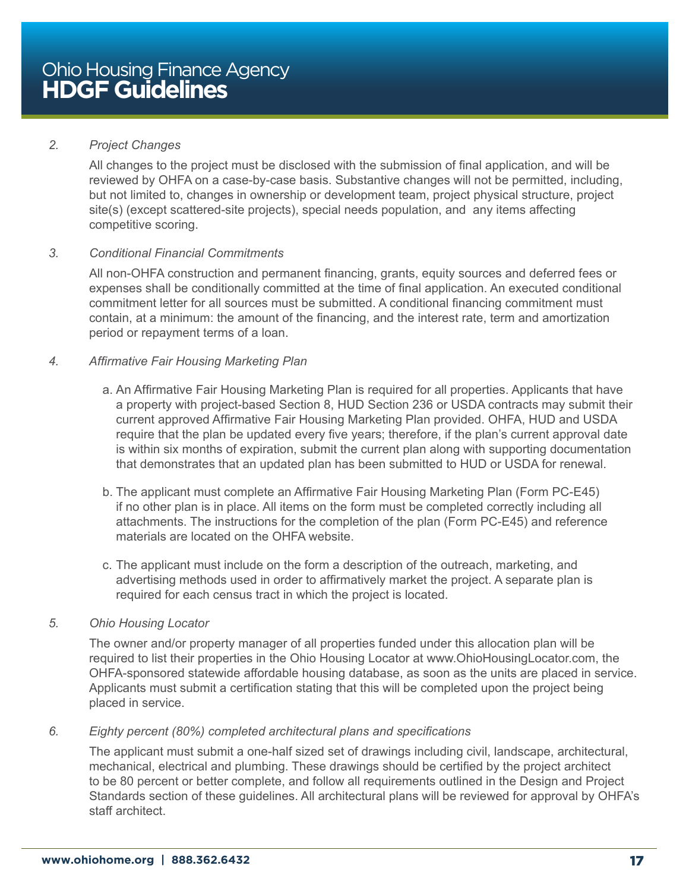#### *2. Project Changes*

All changes to the project must be disclosed with the submission of final application, and will be reviewed by OHFA on a case-by-case basis. Substantive changes will not be permitted, including, but not limited to, changes in ownership or development team, project physical structure, project site(s) (except scattered-site projects), special needs population, and any items affecting competitive scoring.

#### *3. Conditional Financial Commitments*

All non-OHFA construction and permanent financing, grants, equity sources and deferred fees or expenses shall be conditionally committed at the time of final application. An executed conditional commitment letter for all sources must be submitted. A conditional financing commitment must contain, at a minimum: the amount of the financing, and the interest rate, term and amortization period or repayment terms of a loan.

#### *4. Affirmative Fair Housing Marketing Plan*

- a. An Affirmative Fair Housing Marketing Plan is required for all properties. Applicants that have a property with project-based Section 8, HUD Section 236 or USDA contracts may submit their current approved Affirmative Fair Housing Marketing Plan provided. OHFA, HUD and USDA require that the plan be updated every five years; therefore, if the plan's current approval date is within six months of expiration, submit the current plan along with supporting documentation that demonstrates that an updated plan has been submitted to HUD or USDA for renewal.
- b. The applicant must complete an Affirmative Fair Housing Marketing Plan (Form PC-E45) if no other plan is in place. All items on the form must be completed correctly including all attachments. The instructions for the completion of the plan (Form PC-E45) and reference materials are located on the OHFA website.
- c. The applicant must include on the form a description of the outreach, marketing, and advertising methods used in order to affirmatively market the project. A separate plan is required for each census tract in which the project is located.

#### *5. Ohio Housing Locator*

The owner and/or property manager of all properties funded under this allocation plan will be required to list their properties in the Ohio Housing Locator at www.OhioHousingLocator.com, the OHFA-sponsored statewide affordable housing database, as soon as the units are placed in service. Applicants must submit a certification stating that this will be completed upon the project being placed in service.

#### *6. Eighty percent (80%) completed architectural plans and specifications*

The applicant must submit a one-half sized set of drawings including civil, landscape, architectural, mechanical, electrical and plumbing. These drawings should be certified by the project architect to be 80 percent or better complete, and follow all requirements outlined in the Design and Project Standards section of these guidelines. All architectural plans will be reviewed for approval by OHFA's staff architect.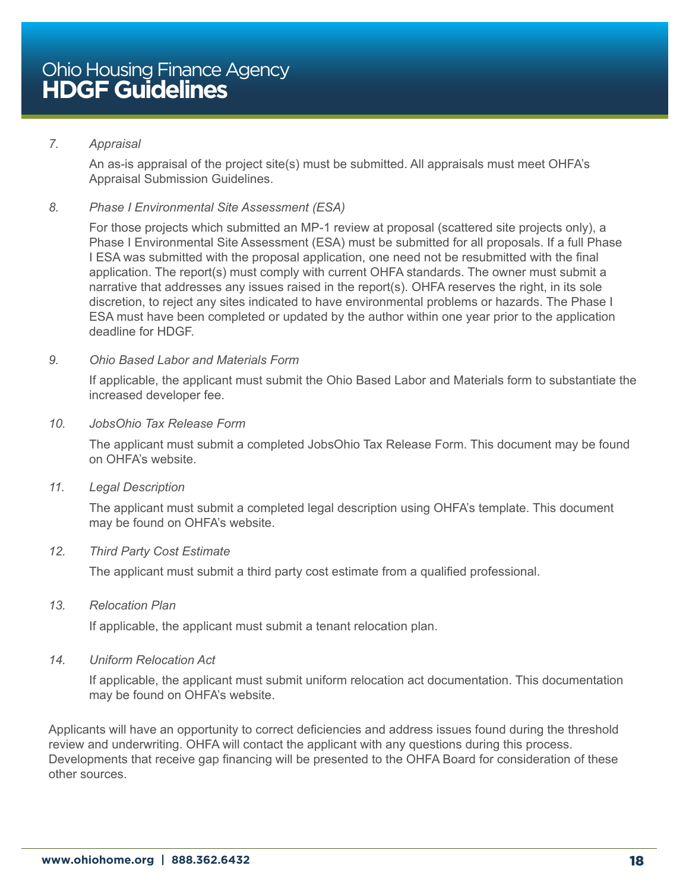#### *7. Appraisal*

An as-is appraisal of the project site(s) must be submitted. All appraisals must meet OHFA's Appraisal Submission Guidelines.

#### *8. Phase I Environmental Site Assessment (ESA)*

For those projects which submitted an MP-1 review at proposal (scattered site projects only), a Phase I Environmental Site Assessment (ESA) must be submitted for all proposals. If a full Phase I ESA was submitted with the proposal application, one need not be resubmitted with the final application. The report(s) must comply with current OHFA standards. The owner must submit a narrative that addresses any issues raised in the report(s). OHFA reserves the right, in its sole discretion, to reject any sites indicated to have environmental problems or hazards. The Phase I ESA must have been completed or updated by the author within one year prior to the application deadline for HDGF.

#### *9. Ohio Based Labor and Materials Form*

If applicable, the applicant must submit the Ohio Based Labor and Materials form to substantiate the increased developer fee.

#### *10. JobsOhio Tax Release Form*

The applicant must submit a completed JobsOhio Tax Release Form. This document may be found on OHFA's website.

#### *11. Legal Description*

The applicant must submit a completed legal description using OHFA's template. This document may be found on OHFA's website.

#### *12. Third Party Cost Estimate*

The applicant must submit a third party cost estimate from a qualified professional.

#### *13. Relocation Plan*

If applicable, the applicant must submit a tenant relocation plan.

#### *14. Uniform Relocation Act*

If applicable, the applicant must submit uniform relocation act documentation. This documentation may be found on OHFA's website.

Applicants will have an opportunity to correct deficiencies and address issues found during the threshold review and underwriting. OHFA will contact the applicant with any questions during this process. Developments that receive gap financing will be presented to the OHFA Board for consideration of these other sources.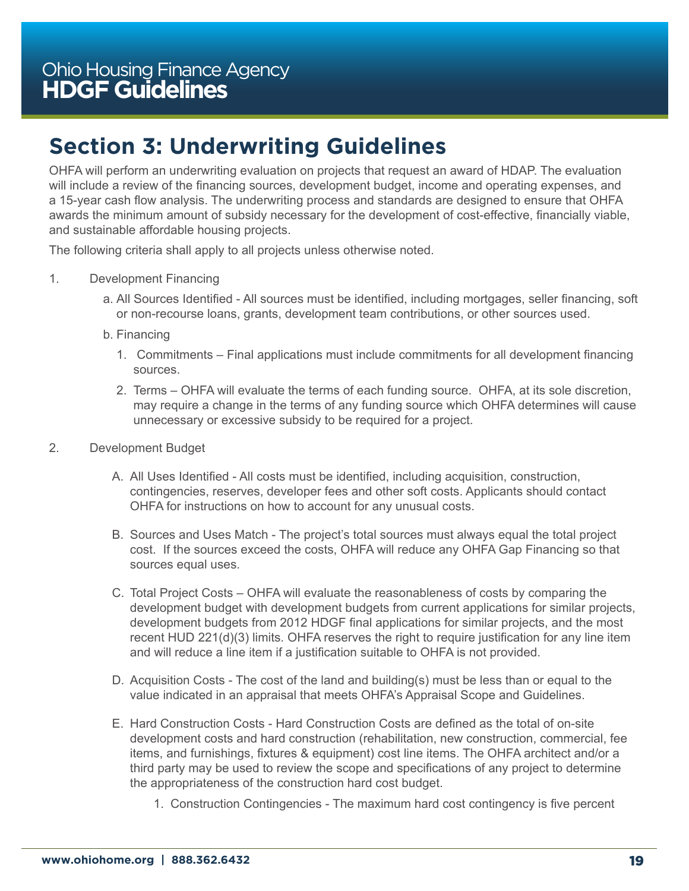# <span id="page-18-0"></span>**Section 3: Underwriting Guidelines**

OHFA will perform an underwriting evaluation on projects that request an award of HDAP. The evaluation will include a review of the financing sources, development budget, income and operating expenses, and a 15-year cash flow analysis. The underwriting process and standards are designed to ensure that OHFA awards the minimum amount of subsidy necessary for the development of cost-effective, financially viable, and sustainable affordable housing projects.

The following criteria shall apply to all projects unless otherwise noted.

- 1. Development Financing
	- a. All Sources Identified All sources must be identified, including mortgages, seller financing, soft or non-recourse loans, grants, development team contributions, or other sources used.
	- b. Financing
		- 1. Commitments Final applications must include commitments for all development financing sources.
		- 2. Terms OHFA will evaluate the terms of each funding source. OHFA, at its sole discretion, may require a change in the terms of any funding source which OHFA determines will cause unnecessary or excessive subsidy to be required for a project.
- 2. Development Budget
	- A. All Uses Identified All costs must be identified, including acquisition, construction, contingencies, reserves, developer fees and other soft costs. Applicants should contact OHFA for instructions on how to account for any unusual costs.
	- B. Sources and Uses Match The project's total sources must always equal the total project cost. If the sources exceed the costs, OHFA will reduce any OHFA Gap Financing so that sources equal uses.
	- C. Total Project Costs OHFA will evaluate the reasonableness of costs by comparing the development budget with development budgets from current applications for similar projects, development budgets from 2012 HDGF final applications for similar projects, and the most recent HUD 221(d)(3) limits. OHFA reserves the right to require justification for any line item and will reduce a line item if a justification suitable to OHFA is not provided.
	- D. Acquisition Costs The cost of the land and building(s) must be less than or equal to the value indicated in an appraisal that meets OHFA's Appraisal Scope and Guidelines.
	- E. Hard Construction Costs Hard Construction Costs are defined as the total of on-site development costs and hard construction (rehabilitation, new construction, commercial, fee items, and furnishings, fixtures & equipment) cost line items. The OHFA architect and/or a third party may be used to review the scope and specifications of any project to determine the appropriateness of the construction hard cost budget.
		- 1. Construction Contingencies The maximum hard cost contingency is five percent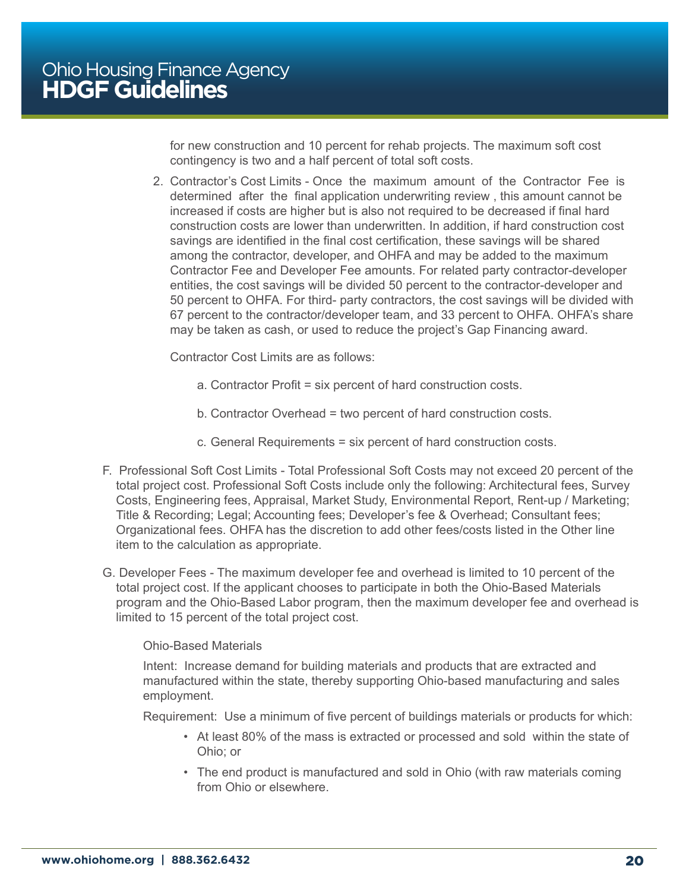for new construction and 10 percent for rehab projects. The maximum soft cost contingency is two and a half percent of total soft costs.

2. Contractor's Cost Limits - Once the maximum amount of the Contractor Fee is determined after the final application underwriting review , this amount cannot be increased if costs are higher but is also not required to be decreased if final hard construction costs are lower than underwritten. In addition, if hard construction cost savings are identified in the final cost certification, these savings will be shared among the contractor, developer, and OHFA and may be added to the maximum Contractor Fee and Developer Fee amounts. For related party contractor-developer entities, the cost savings will be divided 50 percent to the contractor-developer and 50 percent to OHFA. For third- party contractors, the cost savings will be divided with 67 percent to the contractor/developer team, and 33 percent to OHFA. OHFA's share may be taken as cash, or used to reduce the project's Gap Financing award.

Contractor Cost Limits are as follows:

- a. Contractor Profit = six percent of hard construction costs.
- b. Contractor Overhead = two percent of hard construction costs.
- c. General Requirements = six percent of hard construction costs.
- F. Professional Soft Cost Limits Total Professional Soft Costs may not exceed 20 percent of the total project cost. Professional Soft Costs include only the following: Architectural fees, Survey Costs, Engineering fees, Appraisal, Market Study, Environmental Report, Rent-up / Marketing; Title & Recording; Legal; Accounting fees; Developer's fee & Overhead; Consultant fees; Organizational fees. OHFA has the discretion to add other fees/costs listed in the Other line item to the calculation as appropriate.
- G. Developer Fees The maximum developer fee and overhead is limited to 10 percent of the total project cost. If the applicant chooses to participate in both the Ohio-Based Materials program and the Ohio-Based Labor program, then the maximum developer fee and overhead is limited to 15 percent of the total project cost.

#### Ohio-Based Materials

Intent: Increase demand for building materials and products that are extracted and manufactured within the state, thereby supporting Ohio-based manufacturing and sales employment.

Requirement: Use a minimum of five percent of buildings materials or products for which:

- At least 80% of the mass is extracted or processed and sold within the state of Ohio; or
- The end product is manufactured and sold in Ohio (with raw materials coming from Ohio or elsewhere.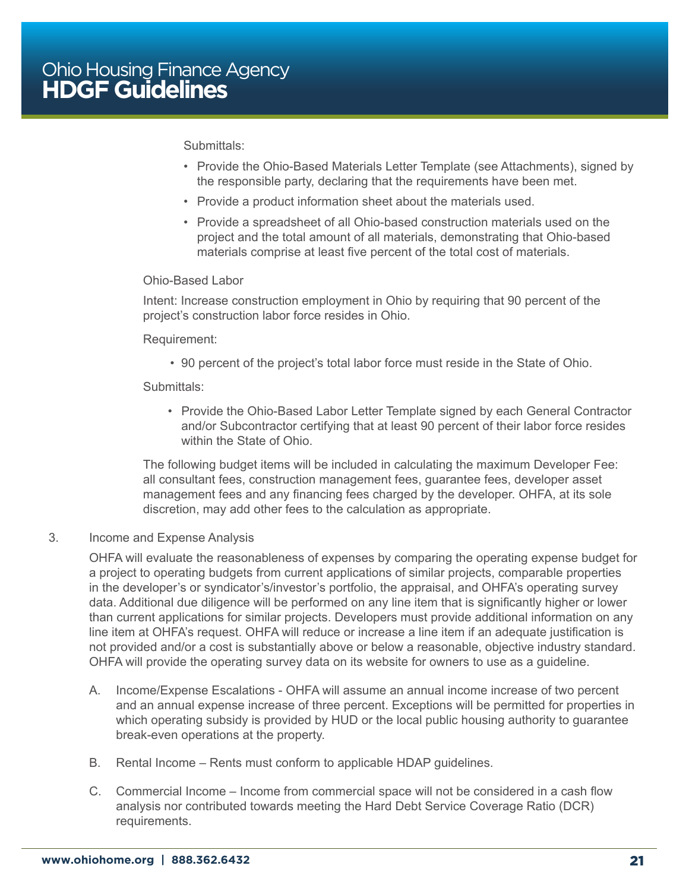#### Submittals:

- Provide the Ohio-Based Materials Letter Template (see Attachments), signed by the responsible party, declaring that the requirements have been met.
- Provide a product information sheet about the materials used.
- Provide a spreadsheet of all Ohio-based construction materials used on the project and the total amount of all materials, demonstrating that Ohio-based materials comprise at least five percent of the total cost of materials.

#### Ohio-Based Labor

Intent: Increase construction employment in Ohio by requiring that 90 percent of the project's construction labor force resides in Ohio.

#### Requirement:

• 90 percent of the project's total labor force must reside in the State of Ohio.

#### Submittals:

• Provide the Ohio-Based Labor Letter Template signed by each General Contractor and/or Subcontractor certifying that at least 90 percent of their labor force resides within the State of Ohio.

The following budget items will be included in calculating the maximum Developer Fee: all consultant fees, construction management fees, guarantee fees, developer asset management fees and any financing fees charged by the developer. OHFA, at its sole discretion, may add other fees to the calculation as appropriate.

#### 3. Income and Expense Analysis

OHFA will evaluate the reasonableness of expenses by comparing the operating expense budget for a project to operating budgets from current applications of similar projects, comparable properties in the developer's or syndicator's/investor's portfolio, the appraisal, and OHFA's operating survey data. Additional due diligence will be performed on any line item that is significantly higher or lower than current applications for similar projects. Developers must provide additional information on any line item at OHFA's request. OHFA will reduce or increase a line item if an adequate justification is not provided and/or a cost is substantially above or below a reasonable, objective industry standard. OHFA will provide the operating survey data on its website for owners to use as a guideline.

- A. Income/Expense Escalations OHFA will assume an annual income increase of two percent and an annual expense increase of three percent. Exceptions will be permitted for properties in which operating subsidy is provided by HUD or the local public housing authority to quarantee break-even operations at the property.
- B. Rental Income Rents must conform to applicable HDAP guidelines.
- C. Commercial Income Income from commercial space will not be considered in a cash flow analysis nor contributed towards meeting the Hard Debt Service Coverage Ratio (DCR) requirements.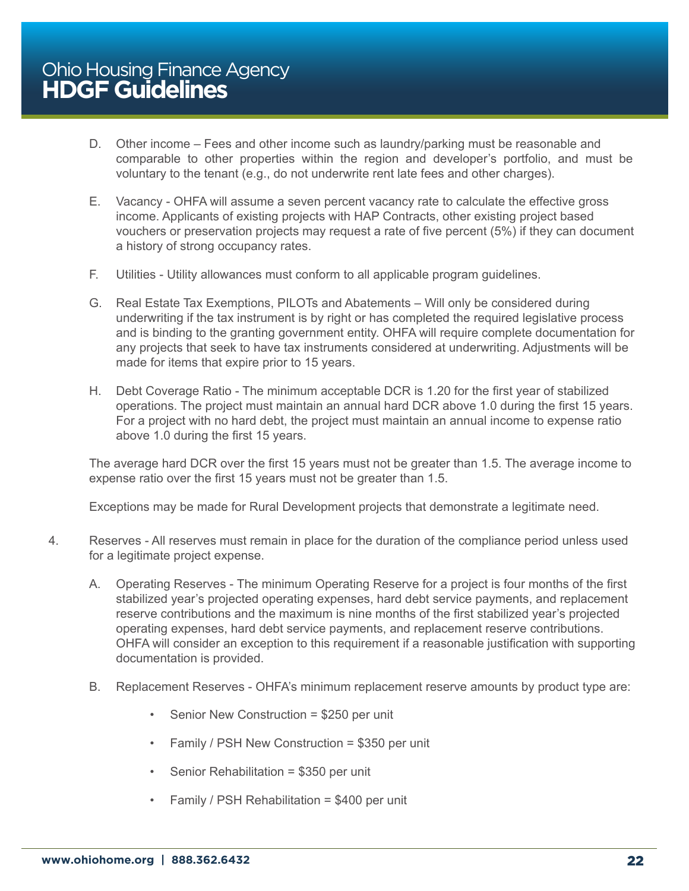- D. Other income Fees and other income such as laundry/parking must be reasonable and comparable to other properties within the region and developer's portfolio, and must be voluntary to the tenant (e.g., do not underwrite rent late fees and other charges).
- E. Vacancy OHFA will assume a seven percent vacancy rate to calculate the effective gross income. Applicants of existing projects with HAP Contracts, other existing project based vouchers or preservation projects may request a rate of five percent (5%) if they can document a history of strong occupancy rates.
- F. Utilities Utility allowances must conform to all applicable program guidelines.
- G. Real Estate Tax Exemptions, PILOTs and Abatements Will only be considered during underwriting if the tax instrument is by right or has completed the required legislative process and is binding to the granting government entity. OHFA will require complete documentation for any projects that seek to have tax instruments considered at underwriting. Adjustments will be made for items that expire prior to 15 years.
- H. Debt Coverage Ratio The minimum acceptable DCR is 1.20 for the first year of stabilized operations. The project must maintain an annual hard DCR above 1.0 during the first 15 years. For a project with no hard debt, the project must maintain an annual income to expense ratio above 1.0 during the first 15 years.

The average hard DCR over the first 15 years must not be greater than 1.5. The average income to expense ratio over the first 15 years must not be greater than 1.5.

Exceptions may be made for Rural Development projects that demonstrate a legitimate need.

- 4. Reserves All reserves must remain in place for the duration of the compliance period unless used for a legitimate project expense.
	- A. Operating Reserves The minimum Operating Reserve for a project is four months of the first stabilized year's projected operating expenses, hard debt service payments, and replacement reserve contributions and the maximum is nine months of the first stabilized year's projected operating expenses, hard debt service payments, and replacement reserve contributions. OHFA will consider an exception to this requirement if a reasonable justification with supporting documentation is provided.
	- B. Replacement Reserves OHFA's minimum replacement reserve amounts by product type are:
		- Senior New Construction = \$250 per unit
		- Family / PSH New Construction = \$350 per unit
		- Senior Rehabilitation = \$350 per unit
		- Family / PSH Rehabilitation = \$400 per unit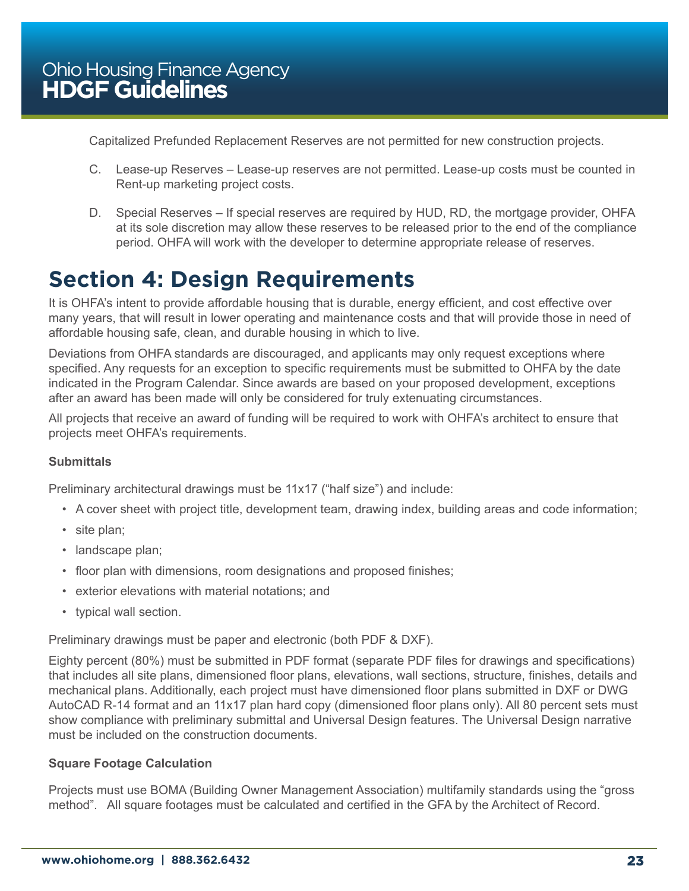<span id="page-22-0"></span>Capitalized Prefunded Replacement Reserves are not permitted for new construction projects.

- C. Lease-up Reserves Lease-up reserves are not permitted. Lease-up costs must be counted in Rent-up marketing project costs.
- D. Special Reserves If special reserves are required by HUD, RD, the mortgage provider, OHFA at its sole discretion may allow these reserves to be released prior to the end of the compliance period. OHFA will work with the developer to determine appropriate release of reserves.

# **Section 4: Design Requirements**

It is OHFA's intent to provide affordable housing that is durable, energy efficient, and cost effective over many years, that will result in lower operating and maintenance costs and that will provide those in need of affordable housing safe, clean, and durable housing in which to live.

Deviations from OHFA standards are discouraged, and applicants may only request exceptions where specified. Any requests for an exception to specific requirements must be submitted to OHFA by the date indicated in the Program Calendar. Since awards are based on your proposed development, exceptions after an award has been made will only be considered for truly extenuating circumstances.

All projects that receive an award of funding will be required to work with OHFA's architect to ensure that projects meet OHFA's requirements.

#### **Submittals**

Preliminary architectural drawings must be 11x17 ("half size") and include:

- A cover sheet with project title, development team, drawing index, building areas and code information;
- site plan;
- landscape plan;
- floor plan with dimensions, room designations and proposed finishes;
- exterior elevations with material notations; and
- typical wall section.

Preliminary drawings must be paper and electronic (both PDF & DXF).

Eighty percent (80%) must be submitted in PDF format (separate PDF files for drawings and specifications) that includes all site plans, dimensioned floor plans, elevations, wall sections, structure, finishes, details and mechanical plans. Additionally, each project must have dimensioned floor plans submitted in DXF or DWG AutoCAD R-14 format and an 11x17 plan hard copy (dimensioned floor plans only). All 80 percent sets must show compliance with preliminary submittal and Universal Design features. The Universal Design narrative must be included on the construction documents.

#### **Square Footage Calculation**

Projects must use BOMA (Building Owner Management Association) multifamily standards using the "gross method". All square footages must be calculated and certified in the GFA by the Architect of Record.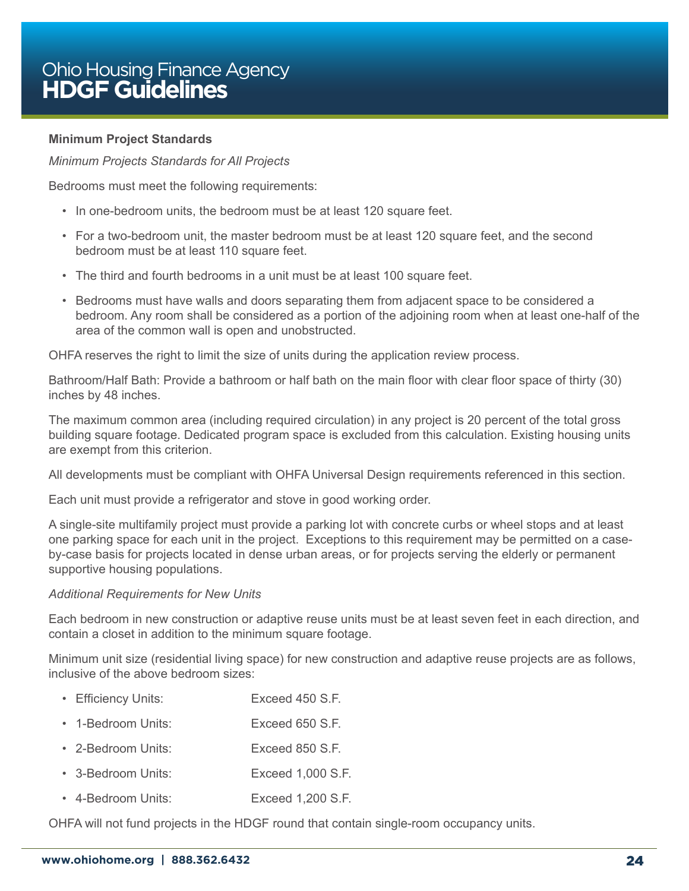#### **Minimum Project Standards**

*Minimum Projects Standards for All Projects*

Bedrooms must meet the following requirements:

- In one-bedroom units, the bedroom must be at least 120 square feet.
- For a two-bedroom unit, the master bedroom must be at least 120 square feet, and the second bedroom must be at least 110 square feet.
- The third and fourth bedrooms in a unit must be at least 100 square feet.
- Bedrooms must have walls and doors separating them from adjacent space to be considered a bedroom. Any room shall be considered as a portion of the adjoining room when at least one-half of the area of the common wall is open and unobstructed.

OHFA reserves the right to limit the size of units during the application review process.

Bathroom/Half Bath: Provide a bathroom or half bath on the main floor with clear floor space of thirty (30) inches by 48 inches.

The maximum common area (including required circulation) in any project is 20 percent of the total gross building square footage. Dedicated program space is excluded from this calculation. Existing housing units are exempt from this criterion.

All developments must be compliant with OHFA Universal Design requirements referenced in this section.

Each unit must provide a refrigerator and stove in good working order.

A single-site multifamily project must provide a parking lot with concrete curbs or wheel stops and at least one parking space for each unit in the project. Exceptions to this requirement may be permitted on a caseby-case basis for projects located in dense urban areas, or for projects serving the elderly or permanent supportive housing populations.

#### *Additional Requirements for New Units*

Each bedroom in new construction or adaptive reuse units must be at least seven feet in each direction, and contain a closet in addition to the minimum square footage.

Minimum unit size (residential living space) for new construction and adaptive reuse projects are as follows, inclusive of the above bedroom sizes:

- Efficiency Units: Exceed 450 S.F.
- 1-Bedroom Units: Exceed 650 S.F.
- 2-Bedroom Units: Exceed 850 S.F.
- 3-Bedroom Units: Exceed 1,000 S.F.
- 4-Bedroom Units: Exceed 1,200 S.F.

OHFA will not fund projects in the HDGF round that contain single-room occupancy units.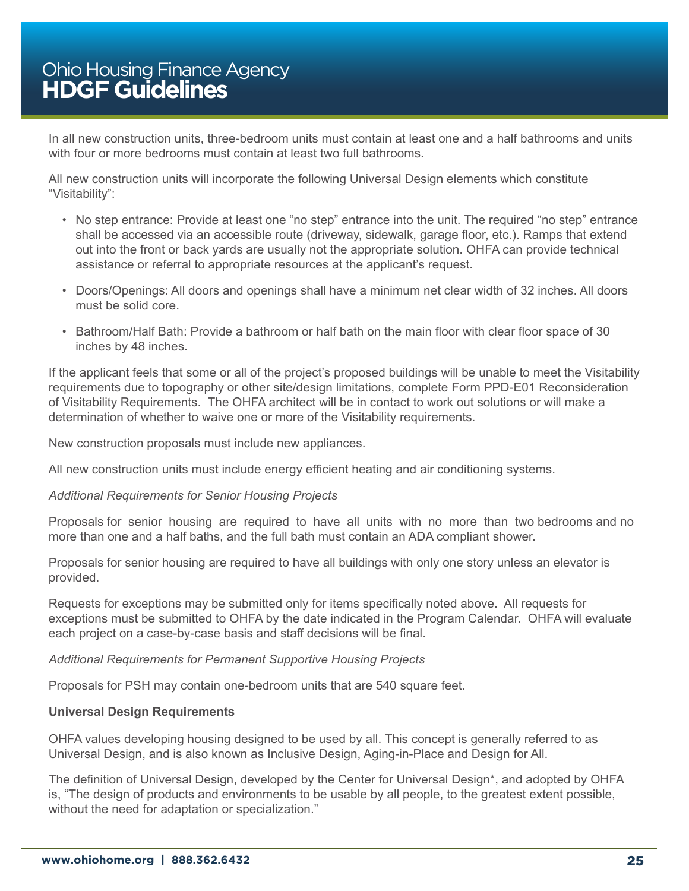In all new construction units, three-bedroom units must contain at least one and a half bathrooms and units with four or more bedrooms must contain at least two full bathrooms.

All new construction units will incorporate the following Universal Design elements which constitute "Visitability":

- No step entrance: Provide at least one "no step" entrance into the unit. The required "no step" entrance shall be accessed via an accessible route (driveway, sidewalk, garage floor, etc.). Ramps that extend out into the front or back yards are usually not the appropriate solution. OHFA can provide technical assistance or referral to appropriate resources at the applicant's request.
- Doors/Openings: All doors and openings shall have a minimum net clear width of 32 inches. All doors must be solid core.
- Bathroom/Half Bath: Provide a bathroom or half bath on the main floor with clear floor space of 30 inches by 48 inches.

If the applicant feels that some or all of the project's proposed buildings will be unable to meet the Visitability requirements due to topography or other site/design limitations, complete Form PPD-E01 Reconsideration of Visitability Requirements. The OHFA architect will be in contact to work out solutions or will make a determination of whether to waive one or more of the Visitability requirements.

New construction proposals must include new appliances.

All new construction units must include energy efficient heating and air conditioning systems.

#### *Additional Requirements for Senior Housing Projects*

Proposals for senior housing are required to have all units with no more than two bedrooms and no more than one and a half baths, and the full bath must contain an ADA compliant shower.

Proposals for senior housing are required to have all buildings with only one story unless an elevator is provided.

Requests for exceptions may be submitted only for items specifically noted above. All requests for exceptions must be submitted to OHFA by the date indicated in the Program Calendar. OHFA will evaluate each project on a case-by-case basis and staff decisions will be final.

#### *Additional Requirements for Permanent Supportive Housing Projects*

Proposals for PSH may contain one-bedroom units that are 540 square feet.

#### **Universal Design Requirements**

OHFA values developing housing designed to be used by all. This concept is generally referred to as Universal Design, and is also known as Inclusive Design, Aging-in-Place and Design for All.

The definition of Universal Design, developed by the Center for Universal Design\*, and adopted by OHFA is, "The design of products and environments to be usable by all people, to the greatest extent possible, without the need for adaptation or specialization."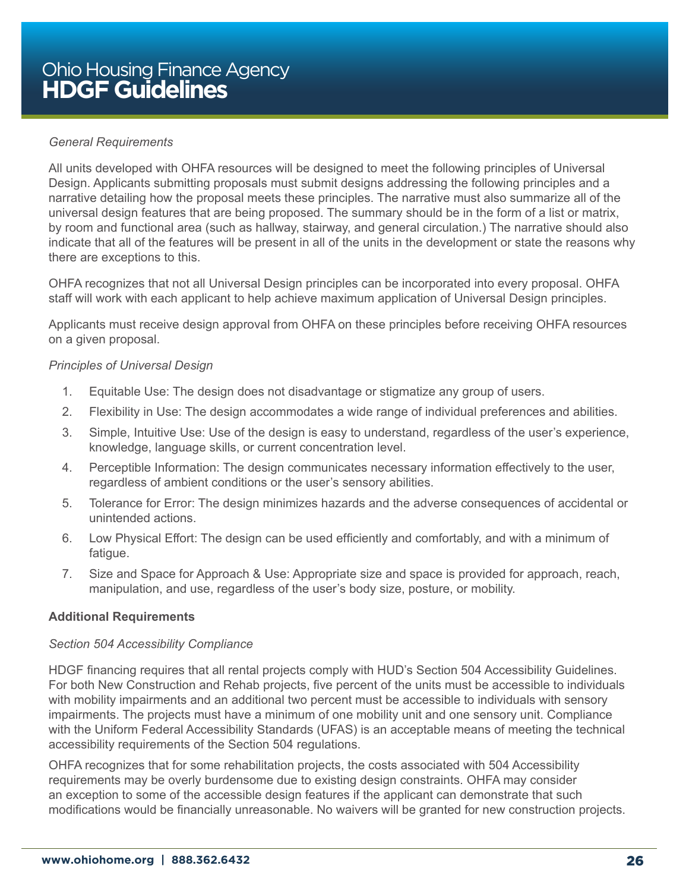#### *General Requirements*

All units developed with OHFA resources will be designed to meet the following principles of Universal Design. Applicants submitting proposals must submit designs addressing the following principles and a narrative detailing how the proposal meets these principles. The narrative must also summarize all of the universal design features that are being proposed. The summary should be in the form of a list or matrix, by room and functional area (such as hallway, stairway, and general circulation.) The narrative should also indicate that all of the features will be present in all of the units in the development or state the reasons why there are exceptions to this.

OHFA recognizes that not all Universal Design principles can be incorporated into every proposal. OHFA staff will work with each applicant to help achieve maximum application of Universal Design principles.

Applicants must receive design approval from OHFA on these principles before receiving OHFA resources on a given proposal.

#### *Principles of Universal Design*

- 1. Equitable Use: The design does not disadvantage or stigmatize any group of users.
- 2. Flexibility in Use: The design accommodates a wide range of individual preferences and abilities.
- 3. Simple, Intuitive Use: Use of the design is easy to understand, regardless of the user's experience, knowledge, language skills, or current concentration level.
- 4. Perceptible Information: The design communicates necessary information effectively to the user, regardless of ambient conditions or the user's sensory abilities.
- 5. Tolerance for Error: The design minimizes hazards and the adverse consequences of accidental or unintended actions.
- 6. Low Physical Effort: The design can be used efficiently and comfortably, and with a minimum of fatigue.
- 7. Size and Space for Approach & Use: Appropriate size and space is provided for approach, reach, manipulation, and use, regardless of the user's body size, posture, or mobility.

#### **Additional Requirements**

#### *Section 504 Accessibility Compliance*

HDGF financing requires that all rental projects comply with HUD's Section 504 Accessibility Guidelines. For both New Construction and Rehab projects, five percent of the units must be accessible to individuals with mobility impairments and an additional two percent must be accessible to individuals with sensory impairments. The projects must have a minimum of one mobility unit and one sensory unit. Compliance with the Uniform Federal Accessibility Standards (UFAS) is an acceptable means of meeting the technical accessibility requirements of the Section 504 regulations.

OHFA recognizes that for some rehabilitation projects, the costs associated with 504 Accessibility requirements may be overly burdensome due to existing design constraints. OHFA may consider an exception to some of the accessible design features if the applicant can demonstrate that such modifications would be financially unreasonable. No waivers will be granted for new construction projects.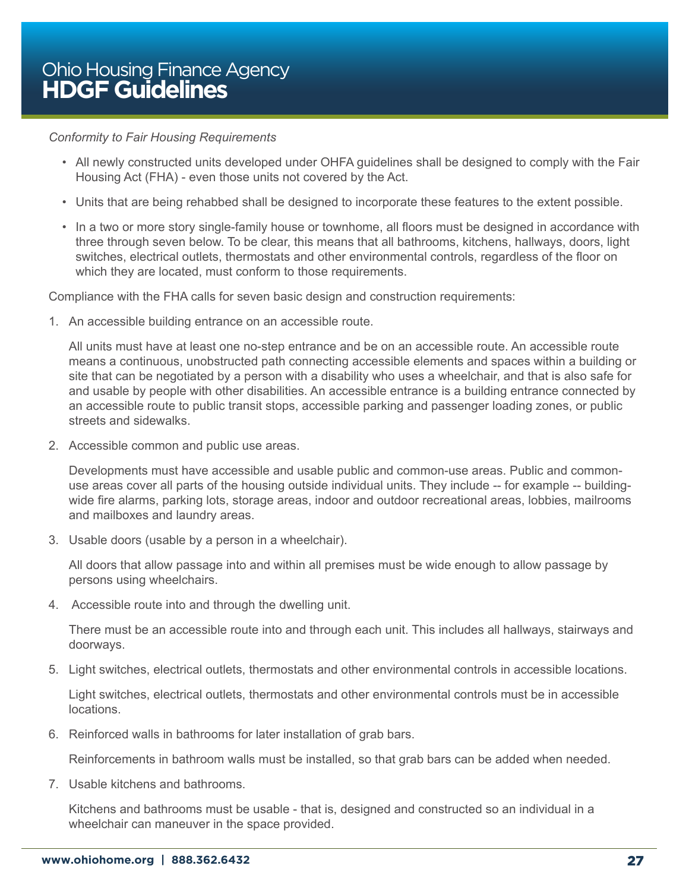#### *Conformity to Fair Housing Requirements*

- All newly constructed units developed under OHFA guidelines shall be designed to comply with the Fair Housing Act (FHA) - even those units not covered by the Act.
- Units that are being rehabbed shall be designed to incorporate these features to the extent possible.
- In a two or more story single-family house or townhome, all floors must be designed in accordance with three through seven below. To be clear, this means that all bathrooms, kitchens, hallways, doors, light switches, electrical outlets, thermostats and other environmental controls, regardless of the floor on which they are located, must conform to those requirements.

Compliance with the FHA calls for seven basic design and construction requirements:

1. An accessible building entrance on an accessible route.

All units must have at least one no-step entrance and be on an accessible route. An accessible route means a continuous, unobstructed path connecting accessible elements and spaces within a building or site that can be negotiated by a person with a disability who uses a wheelchair, and that is also safe for and usable by people with other disabilities. An accessible entrance is a building entrance connected by an accessible route to public transit stops, accessible parking and passenger loading zones, or public streets and sidewalks.

2. Accessible common and public use areas.

Developments must have accessible and usable public and common-use areas. Public and commonuse areas cover all parts of the housing outside individual units. They include -- for example -- buildingwide fire alarms, parking lots, storage areas, indoor and outdoor recreational areas, lobbies, mailrooms and mailboxes and laundry areas.

3. Usable doors (usable by a person in a wheelchair).

All doors that allow passage into and within all premises must be wide enough to allow passage by persons using wheelchairs.

4. Accessible route into and through the dwelling unit.

There must be an accessible route into and through each unit. This includes all hallways, stairways and doorways.

5. Light switches, electrical outlets, thermostats and other environmental controls in accessible locations.

Light switches, electrical outlets, thermostats and other environmental controls must be in accessible locations.

6. Reinforced walls in bathrooms for later installation of grab bars.

Reinforcements in bathroom walls must be installed, so that grab bars can be added when needed.

7. Usable kitchens and bathrooms.

Kitchens and bathrooms must be usable - that is, designed and constructed so an individual in a wheelchair can maneuver in the space provided.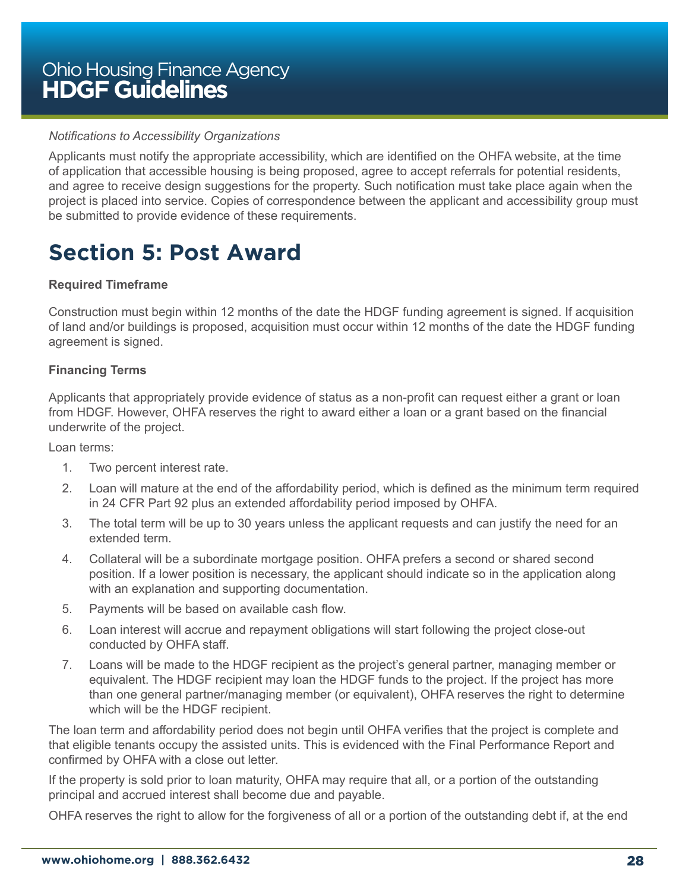#### <span id="page-27-0"></span>*Notifications to Accessibility Organizations*

Applicants must notify the appropriate accessibility, which are identified on the OHFA website, at the time of application that accessible housing is being proposed, agree to accept referrals for potential residents, and agree to receive design suggestions for the property. Such notification must take place again when the project is placed into service. Copies of correspondence between the applicant and accessibility group must be submitted to provide evidence of these requirements.

# **Section 5: Post Award**

#### **Required Timeframe**

Construction must begin within 12 months of the date the HDGF funding agreement is signed. If acquisition of land and/or buildings is proposed, acquisition must occur within 12 months of the date the HDGF funding agreement is signed.

#### **Financing Terms**

Applicants that appropriately provide evidence of status as a non-profit can request either a grant or loan from HDGF. However, OHFA reserves the right to award either a loan or a grant based on the financial underwrite of the project.

Loan terms:

- 1. Two percent interest rate.
- 2. Loan will mature at the end of the affordability period, which is defined as the minimum term required in 24 CFR Part 92 plus an extended affordability period imposed by OHFA.
- 3. The total term will be up to 30 years unless the applicant requests and can justify the need for an extended term.
- 4. Collateral will be a subordinate mortgage position. OHFA prefers a second or shared second position. If a lower position is necessary, the applicant should indicate so in the application along with an explanation and supporting documentation.
- 5. Payments will be based on available cash flow.
- 6. Loan interest will accrue and repayment obligations will start following the project close-out conducted by OHFA staff.
- 7. Loans will be made to the HDGF recipient as the project's general partner, managing member or equivalent. The HDGF recipient may loan the HDGF funds to the project. If the project has more than one general partner/managing member (or equivalent), OHFA reserves the right to determine which will be the HDGF recipient.

The loan term and affordability period does not begin until OHFA verifies that the project is complete and that eligible tenants occupy the assisted units. This is evidenced with the Final Performance Report and confirmed by OHFA with a close out letter.

If the property is sold prior to loan maturity, OHFA may require that all, or a portion of the outstanding principal and accrued interest shall become due and payable.

OHFA reserves the right to allow for the forgiveness of all or a portion of the outstanding debt if, at the end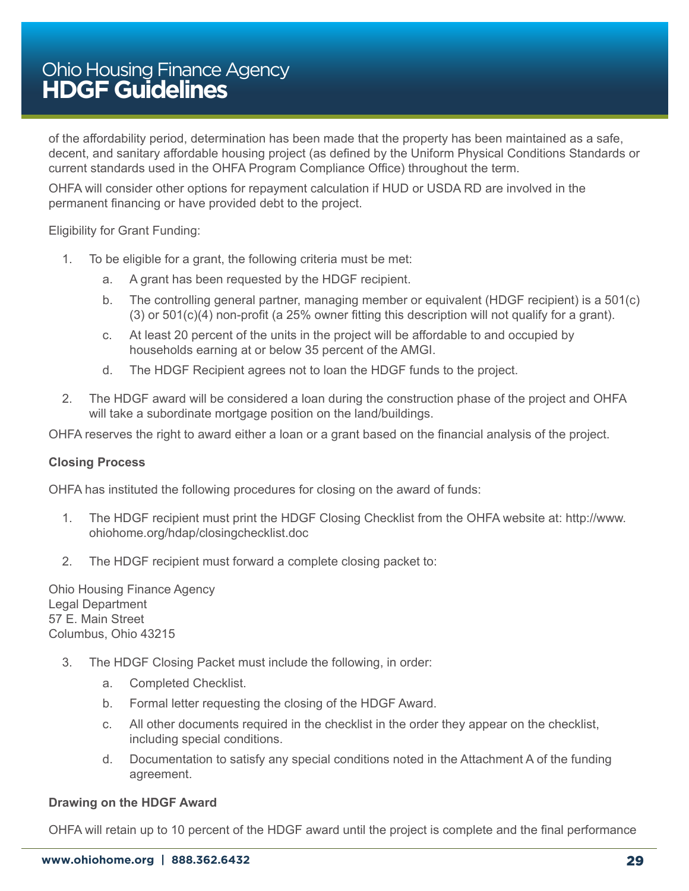of the affordability period, determination has been made that the property has been maintained as a safe, decent, and sanitary affordable housing project (as defined by the Uniform Physical Conditions Standards or current standards used in the OHFA Program Compliance Office) throughout the term.

OHFA will consider other options for repayment calculation if HUD or USDA RD are involved in the permanent financing or have provided debt to the project.

#### Eligibility for Grant Funding:

- 1. To be eligible for a grant, the following criteria must be met:
	- a. A grant has been requested by the HDGF recipient.
	- b. The controlling general partner, managing member or equivalent (HDGF recipient) is a 501(c) (3) or 501(c)(4) non-profit (a 25% owner fitting this description will not qualify for a grant).
	- c. At least 20 percent of the units in the project will be affordable to and occupied by households earning at or below 35 percent of the AMGI.
	- d. The HDGF Recipient agrees not to loan the HDGF funds to the project.
- 2. The HDGF award will be considered a loan during the construction phase of the project and OHFA will take a subordinate mortgage position on the land/buildings.

OHFA reserves the right to award either a loan or a grant based on the financial analysis of the project.

#### **Closing Process**

OHFA has instituted the following procedures for closing on the award of funds:

- 1. The HDGF recipient must print the HDGF Closing Checklist from the OHFA website at: http://www. ohiohome.org/hdap/closingchecklist.doc
- 2. The HDGF recipient must forward a complete closing packet to:

Ohio Housing Finance Agency Legal Department 57 E. Main Street Columbus, Ohio 43215

- 3. The HDGF Closing Packet must include the following, in order:
	- a. Completed Checklist.
	- b. Formal letter requesting the closing of the HDGF Award.
	- c. All other documents required in the checklist in the order they appear on the checklist, including special conditions.
	- d. Documentation to satisfy any special conditions noted in the Attachment A of the funding agreement.

#### **Drawing on the HDGF Award**

OHFA will retain up to 10 percent of the HDGF award until the project is complete and the final performance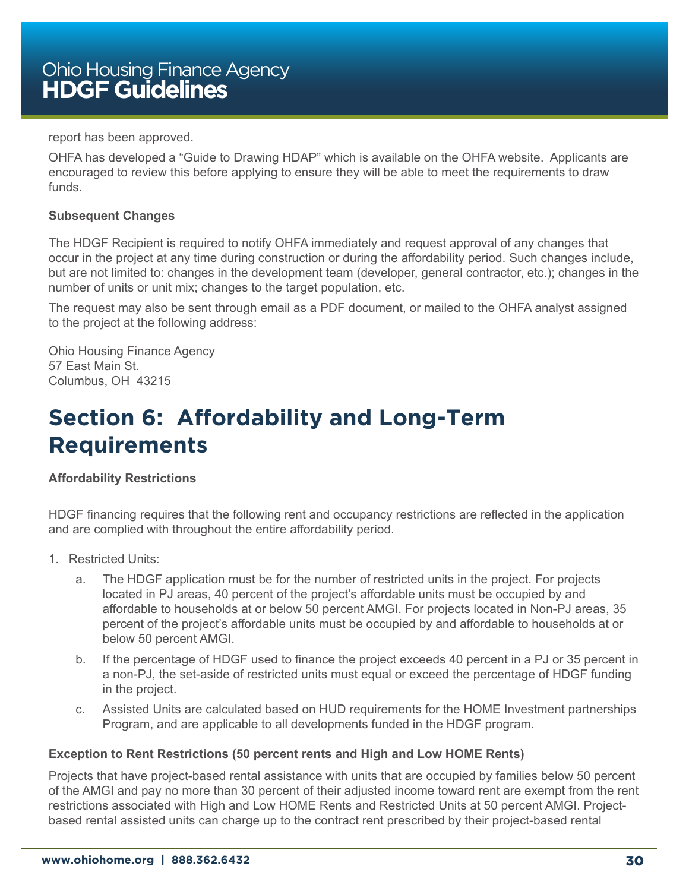<span id="page-29-0"></span>report has been approved.

OHFA has developed a "Guide to Drawing HDAP" which is available on the OHFA website. Applicants are encouraged to review this before applying to ensure they will be able to meet the requirements to draw funds.

#### **Subsequent Changes**

The HDGF Recipient is required to notify OHFA immediately and request approval of any changes that occur in the project at any time during construction or during the affordability period. Such changes include, but are not limited to: changes in the development team (developer, general contractor, etc.); changes in the number of units or unit mix; changes to the target population, etc.

The request may also be sent through email as a PDF document, or mailed to the OHFA analyst assigned to the project at the following address:

Ohio Housing Finance Agency 57 East Main St. Columbus, OH 43215

# **Section 6: Affordability and Long-Term Requirements**

#### **Affordability Restrictions**

HDGF financing requires that the following rent and occupancy restrictions are reflected in the application and are complied with throughout the entire affordability period.

- 1. Restricted Units:
	- a. The HDGF application must be for the number of restricted units in the project. For projects located in PJ areas, 40 percent of the project's affordable units must be occupied by and affordable to households at or below 50 percent AMGI. For projects located in Non-PJ areas, 35 percent of the project's affordable units must be occupied by and affordable to households at or below 50 percent AMGI.
	- b. If the percentage of HDGF used to finance the project exceeds 40 percent in a PJ or 35 percent in a non-PJ, the set-aside of restricted units must equal or exceed the percentage of HDGF funding in the project.
	- c. Assisted Units are calculated based on HUD requirements for the HOME Investment partnerships Program, and are applicable to all developments funded in the HDGF program.

#### **Exception to Rent Restrictions (50 percent rents and High and Low HOME Rents)**

Projects that have project-based rental assistance with units that are occupied by families below 50 percent of the AMGI and pay no more than 30 percent of their adjusted income toward rent are exempt from the rent restrictions associated with High and Low HOME Rents and Restricted Units at 50 percent AMGI. Projectbased rental assisted units can charge up to the contract rent prescribed by their project-based rental